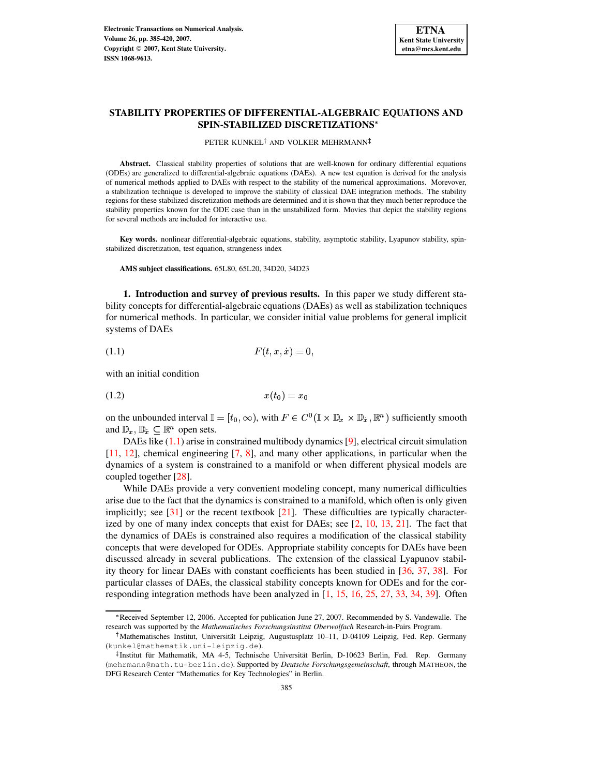

# **STABILITY PROPERTIES OF DIFFERENTIAL-ALGEBRAIC EQUATIONS AND SPIN-STABILIZED DISCRETIZATIONS**

### PETER KUNKEL<sup>†</sup> AND VOLKER MEHRMANN

**Abstract.** Classical stability properties of solutions that are well-known for ordinary differential equations (ODEs) are generalized to differential-algebraic equations (DAEs). A new test equation is derived for the analysis of numerical methods applied to DAEs with respect to the stability of the numerical approximations. Morevover, a stabilization technique is developed to improve the stability of classical DAE integration methods. The stability regions for these stabilized discretization methods are determined and it is shown that they much better reproduce the stability properties known for the ODE case than in the unstabilized form. Movies that depict the stability regions for several methods are included for interactive use.

**Key words.** nonlinear differential-algebraic equations, stability, asymptotic stability, Lyapunov stability, spinstabilized discretization, test equation, strangeness index

**AMS subject classifications.** 65L80, 65L20, 34D20, 34D23

**1. Introduction and survey of previous results.** In this paper we study different stability concepts for differential-algebraic equations (DAEs) as well as stabilization techniques for numerical methods. In particular, we consider initial value problems for general implicit systems of DAEs

<span id="page-0-0"></span>
$$
(1.1) \tF(t, x, \dot{x}) = 0,
$$

with an initial condition

<span id="page-0-1"></span>
$$
(1.2) \qquad \qquad x(t_0) = x_0
$$

on the unbounded interval  $\mathbb{I} = [t_0, \infty)$ , with  $F \in C^0(\mathbb{I} \times \mathbb{D}_x \times \mathbb{D}_x, \mathbb{R}^n)$  sufficiently smooth and  $\mathbb{D}_x$ ,  $\mathbb{D}_x \subseteq \mathbb{R}^n$  open sets.

DAEs like [\(1.1\)](#page-0-0) arise in constrained multibody dynamics [\[9\]](#page-34-0), electrical circuit simulation [\[11,](#page-34-1) [12\]](#page-34-2), chemical engineering [\[7,](#page-34-3) [8\]](#page-34-4), and many other applications, in particular when the dynamics of a system is constrained to a manifold or when different physical models are coupled together [\[28\]](#page-35-0).

While DAEs provide a very convenient modeling concept, many numerical difficulties arise due to the fact that the dynamics is constrained to a manifold, which often is only given implicitly; see [\[31\]](#page-35-1) or the recent textbook [\[21\]](#page-35-2). These difficulties are typically characterized by one of many index concepts that exist for DAEs; see  $[2, 10, 13, 21]$  $[2, 10, 13, 21]$  $[2, 10, 13, 21]$  $[2, 10, 13, 21]$  $[2, 10, 13, 21]$  $[2, 10, 13, 21]$  $[2, 10, 13, 21]$ . The fact that the dynamics of DAEs is constrained also requires a modification of the classical stability concepts that were developed for ODEs. Appropriate stability concepts for DAEs have been discussed already in several publications. The extension of the classical Lyapunov stability theory for linear DAEs with constant coefficients has been studied in [\[36,](#page-35-3) [37,](#page-35-4) [38\]](#page-35-5). For particular classes of DAEs, the classical stability concepts known for ODEs and for the corresponding integration methods have been analyzed in [\[1,](#page-33-0) [15,](#page-35-6) [16,](#page-35-7) [25,](#page-35-8) [27,](#page-35-9) [33,](#page-35-10) [34,](#page-35-11) [39\]](#page-35-12). Often

<sup>6</sup> Received September 12, 2006. Accepted for publication June 27, 2007. Recommended by S. Vandewalle. The research was supported by the *Mathematisches Forschungsinstitut Oberwolfach* Research-in-Pairs Program.

<sup>&</sup>lt;sup>†</sup>Mathematisches Institut, Universität Leipzig, Augustusplatz 10–11, D-04109 Leipzig, Fed. Rep. Germany (kunkel@mathematik.uni-leipzig.de).

<sup>&</sup>lt;sup>‡</sup>Institut für Mathematik, MA 4-5, Technische Universität Berlin, D-10623 Berlin, Fed. Rep. Germany (mehrmann@math.tu-berlin.de). Supported by *Deutsche Forschungsgemeinschaft*, through MATHEON, the DFG Research Center "Mathematics for Key Technologies" in Berlin.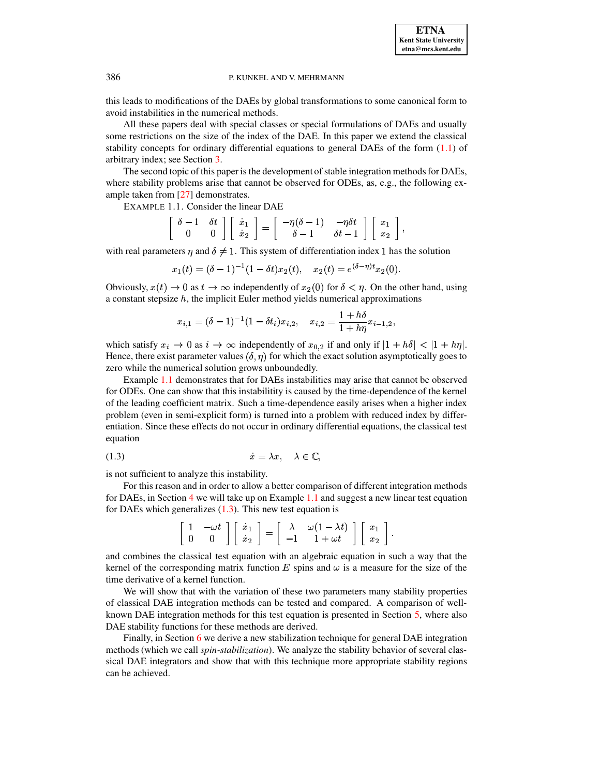this leads to modifications of the DAEs by global transformations to some canonical form to avoid instabilities in the numerical methods.

All these papers deal with special classes or special formulations of DAEs and usually some restrictions on the size of the index of the DAE. In this paper we extend the classical stability concepts for ordinary differential equations to general DAEs of the form  $(1.1)$  of arbitrary index; see Section [3.](#page-9-0)

The second topic of this paper is the development of stable integration methods for DAEs, where stability problems arise that cannot be observed for ODEs, as, e.g., the following example taken from [\[27\]](#page-35-9) demonstrates.

EXAMPLE 1.1. Consider the linear DAE

<span id="page-1-0"></span>
$$
\left[\begin{array}{cc} \delta-1 & \delta t \\ 0 & 0 \end{array}\right] \left[\begin{array}{c} \dot{x}_1 \\ \dot{x}_2 \end{array}\right] = \left[\begin{array}{cc} -\eta(\delta-1) & -\eta\delta t \\ \delta-1 & \delta t-1 \end{array}\right] \left[\begin{array}{c} x_1 \\ x_2 \end{array}\right],
$$

with real parameters  $\eta$  and  $\delta \neq 1$ . This system of differentiation index 1 has the solution

$$
x_1(t) = (\delta - 1)^{-1} (1 - \delta t) x_2(t), \quad x_2(t) = e^{(\delta - \eta)t} x_2(0).
$$

Obviously,  $x(t) \to 0$  as  $t \to \infty$  independently of  $x_2(0)$  for  $\delta < \eta$ . On the other hand, using a constant stepsize  $h$ , the implicit Euler method yields numerical approximations

$$
x_{i,1}=(\delta-1)^{-1}(1-\delta t_i)x_{i,2},\quad x_{i,2}=\frac{1+h\delta}{1+h\eta}x_{i-1,2},
$$

which satisfy  $x_i \to 0$  as  $i \to \infty$  independently of  $x_{0,2}$  if and only if  $|1 + h\delta| < |1 + h\eta|$ . Hence, there exist parameter values  $(\delta, \eta)$  for which the exact solution asymptotically goes to zero while the numerical solution grows unboundedly.

Example [1.1](#page-1-0) demonstrates that for DAEs instabilities may arise that cannot be observed for ODEs. One can show that this instabilitity is caused by the time-dependence of the kernel of the leading coefficient matrix. Such a time-dependence easily arises when a higher index problem (even in semi-explicit form) is turned into a problem with reduced index by differentiation. Since these effects do not occur in ordinary differential equations, the classical test equation

-p 3qp5#\*r^ (1.3)

is not sufficient to analyze this instability.

For this reason and in order to allow a better comparison of different integration methods for DAEs, in Section [4](#page-12-0) we will take up on Example [1.1](#page-1-0) and suggest a new linear test equation for DAEs which generalizes  $(1.3)$ . This new test equation is

<span id="page-1-1"></span>

|  |  | $\begin{bmatrix} 1 & -\omega t \\ 0 & 0 \end{bmatrix} \begin{bmatrix} \dot{x}_1 \\ \dot{x}_2 \end{bmatrix} = \begin{bmatrix} \lambda & \omega(1-\lambda t) \\ -1 & 1+\omega t \end{bmatrix} \begin{bmatrix} x_1 \\ x_2 \end{bmatrix}.$ |  |
|--|--|----------------------------------------------------------------------------------------------------------------------------------------------------------------------------------------------------------------------------------------|--|

and combines the classical test equation with an algebraic equation in such a way that the kernel of the corresponding matrix function E spins and  $\omega$  is a measure for the size of the time derivative of a kernel function.

We will show that with the variation of these two parameters many stability properties of classical DAE integration methods can be tested and compared. A comparison of wellknown DAE integration methods for this test equation is presented in Section [5,](#page-14-0) where also DAE stability functions for these methods are derived.

Finally, in Section [6](#page-23-0) we derive a new stabilization technique for general DAE integration methods (which we call *spin-stabilization*). We analyze the stability behavior of several classical DAE integrators and show that with this technique more appropriate stability regions can be achieved.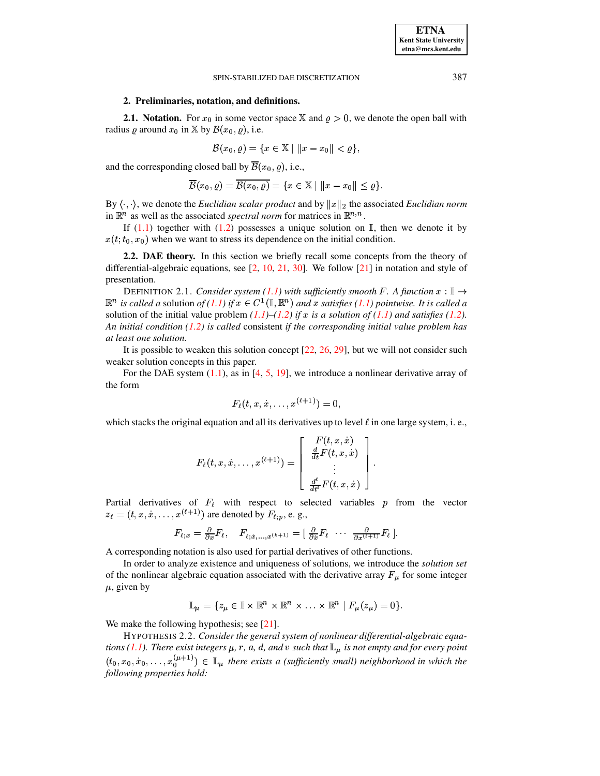# **2. Preliminaries, notation, and definitions.**

**2.1.** Notation. For  $x_0$  in some vector space X and  $\varrho > 0$ , we denote the open ball with radius  $\varrho$  around  $x_0$  in X by  $\mathcal{B}(x_0, \varrho)$ , i.e.

$$
\mathcal{B}(x_0,\varrho)=\{x\in\mathbb{X}\mid \|x-x_0\|<\varrho\},
$$

and the corresponding closed ball by  $B(x_0, \varrho)$ , i.e.,

$$
\overline{\mathcal{B}}(x_0,\varrho)=\overline{\mathcal{B}(x_0,\varrho)}=\{x\in \mathbb{X}\mid \|x-x_0\|\leq \varrho\}.
$$

By  $\langle \cdot, \cdot \rangle$ , we denote the *Euclidian scalar product* and by  $||x||_2$  the associated *Euclidian norm* in  $\mathbb{R}^n$  as well as the associated *spectral norm* for matrices in  $\mathbb{R}^{n,n}$ .

If [\(1.1\)](#page-0-0) together with [\(1.2\)](#page-0-1) possesses a unique solution on  $\mathbb{I}$ , then we denote it by  $x(t; t_0, x_0)$  when we want to stress its dependence on the initial condition.

<span id="page-2-1"></span>**2.2. DAE theory.** In this section we briefly recall some concepts from the theory of differential-algebraic equations, see [\[2,](#page-34-5) [10,](#page-34-6) [21,](#page-35-2) [30\]](#page-35-13). We follow [\[21\]](#page-35-2) in notation and style of presentation.

DEFINITION 2.1. *Consider system* [\(1.1\)](#page-0-0) with sufficiently smooth F. A function  $x : \mathbb{I} \to$  $\mathbb{R}^n$  *is called a solution of* (*1.1) if*  $x \in C^1(\mathbb{I}, \mathbb{R}^n)$  *and x satisfies* (*1.1) pointwise. It is called a* solution of the initial value problem  $(1.1)$ – $(1.2)$  *if*  $x$  *is a solution of*  $(1.1)$  *and satisfies*  $(1.2)$ *. An initial condition [\(1.2\)](#page-0-1) is called* consistent *if the corresponding initial value problem has at least one solution.*

It is possible to weaken this solution concept [\[22,](#page-35-14) [26,](#page-35-15) [29\]](#page-35-16), but we will not consider such weaker solution concepts in this paper.

For the DAE system  $(1.1)$ , as in  $[4, 5, 19]$  $[4, 5, 19]$  $[4, 5, 19]$  $[4, 5, 19]$  $[4, 5, 19]$ , we introduce a nonlinear derivative array of the form

$$
F_\ell(t,x,\dot{x},\ldots,x^{(\ell+1)})=0,
$$

which stacks the original equation and all its derivatives up to level  $\ell$  in one large system, i. e.,

$$
F_\ell(t,x,\dot{x},\dots,x^{(\ell+1)})=\left[\begin{array}{c}F(t,x,\dot{x})\\\frac{d}{dt}F(t,x,\dot{x})\\\vdots\\ \frac{d^\ell}{dt^\ell}F(t,x,\dot{x})\end{array}\right].
$$

Partial derivatives of  $F_{\ell}$  with respect to selected variables  $p$  from the vector  $z_{\ell} = (t, x, \dot{x}, \dots, x^{(\ell+1)})$  are denoted by  $F_{\ell; p}$ , e. g.,

$$
F_{\ell;x} = \frac{\partial}{\partial x} F_{\ell}, \quad F_{\ell;\dot{x},\ldots,x^{(k+1)}} = \left[\begin{array}{ccc} \frac{\partial}{\partial \dot{x}} F_{\ell} & \cdots & \frac{\partial}{\partial x^{(l+1)}} F_{\ell} \end{array}\right].
$$

A corresponding notation is also used for partial derivatives of other functions.

In order to analyze existence and uniqueness of solutions, we introduce the *solution set* of the nonlinear algebraic equation associated with the derivative array  $F_{\mu}$  for some integer  $\mu$ , given by

<span id="page-2-0"></span>
$$
\mathbb{L}_{\mu} = \{z_{\mu} \in \mathbb{I} \times \mathbb{R}^n \times \mathbb{R}^n \times \ldots \times \mathbb{R}^n \mid F_{\mu}(z_{\mu}) = 0\}.
$$

We make the following hypothesis; see [\[21\]](#page-35-2).

HYPOTHESIS 2.2. *Consider the general system of nonlinear differential-algebraic equations [\(1.1\)](#page-0-0). There exist integers*  $\mu$ *, r, a, d, and v such that*  $\mathbb{L}_{\mu}$  *is not empty tions* (*1.1). There exist integers*  $\mu$ *, r, a, d, and v such that*  $\mathbb{L}_{\mu}$  *is not empty exist integers*  $\mu$ ,  $r$ ,  $a$ ,  $d$ , and  $v$  *such that*  $\mathbb{L}_{\mu}$  *is not empty and for every point*  $(x_0, x_0, x_0, \ldots, x_0^{(\mu+1)}) \in \mathbb{L}_\mu$  *there exists a (sufficiently small) neighborhood in which the following properties hold:*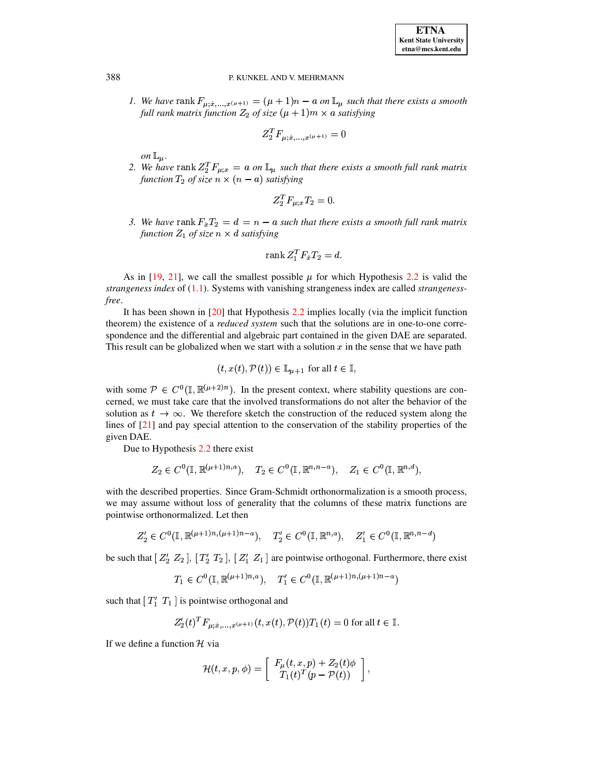*1.* We have rank  $F_{u:\dot{x},...,x^{(\mu+1)}} = (\mu+1)n - a$  on  $\mathbb{L}_{\mu}$  such that the *such that there exists a smooth* full rank matrix function  $Z_2$  of size  $(\mu + 1)m \times a$  satisfying

$$
Z_2^TF_{\mu; \dot x, \dots, x^{(\mu+1)}}=0
$$

*on*  $\mathbb{L}_{\mu}$ .  $\mu$ .

*on*  $\mathbb{L}_{\mu}$ .<br>2. We have rank  $Z_2^T F_{\mu;x} = a$  on  $\mathbb{L}_{\mu}$  such that the *such that there exists a smooth full rank matrix* function  $T_2$  of size  $n \times (n - a)$  satisfying

$$
Z_2^T F_{\mu;x} T_2 = 0.
$$

3. We have rank  $F_x T_2 = d = n - a$  such that there exists a smooth full rank matrix *function*  $Z_1$  *of size*  $n \times d$  *satisfying* 

$$
\operatorname{rank} Z_1^T F_x T_2 = d.
$$

As in [\[19,](#page-35-17) [21\]](#page-35-2), we call the smallest possible  $\mu$  for which Hypothesis [2.2](#page-2-0) is valid the *strangeness index* of [\(1.1\)](#page-0-0). Systems with vanishing strangeness index are called *strangenessfree*.

It has been shown in [\[20\]](#page-35-18) that Hypothesis [2.2](#page-2-0) implies locally (via the implicit function theorem) the existence of a *reduced system* such that the solutions are in one-to-one correspondence and the differential and algebraic part contained in the given DAE are separated. This result can be globalized when we start with a solution  $x$  in the sense that we have path

$$
(t, x(t), \mathcal{P}(t)) \in \mathbb{L}_{\mu+1}
$$
 for all  $t \in \mathbb{I}$ ,

with some  $\mathcal{P} \in C^0(\mathbb{I}, \mathbb{R}^{(\mu+2)n})$ . In the present context, where stability questions are concerned, we must take care that the involved transformations do not alter the behavior of the solution as  $t \to \infty$ . We therefore sketch the construction of the reduced system along the lines of [\[21\]](#page-35-2) and pay special attention to the conservation of the stability properties of the given DAE.

Due to Hypothesis [2.2](#page-2-0) there exist

$$
Z_2 \in C^0(\mathbb{I}, \mathbb{R}^{(\mu+1)n, a}), \quad T_2 \in C^0(\mathbb{I}, \mathbb{R}^{n, n-a}), \quad Z_1 \in C^0(\mathbb{I}, \mathbb{R}^{n, d}),
$$

with the described properties. Since Gram-Schmidt orthonormalization is a smooth process, we may assume without loss of generality that the columns of these matrix functions are pointwise orthonormalized. Let then

$$
Z_2' \in C^0(\mathbb{I}, \mathbb{R}^{(\mu+1)n, (\mu+1)n-a}), \quad T_2' \in C^0(\mathbb{I}, \mathbb{R}^{n,a}), \quad Z_1' \in C^0(\mathbb{I}, \mathbb{R}^{n,n-d})
$$

be such that  $[Z_2 \ Z_2], [T_2' \ T_2], [Z_1' \ Z_1]$  are pointwise orthogonal. Furthermore, there exist

$$
T_1 \in C^0(\mathbb{I}, \mathbb{R}^{(\mu+1)n,a}), \quad T'_1 \in C^0(\mathbb{I}, \mathbb{R}^{(\mu+1)n, (\mu+1)n-a})
$$

such that  $[T'_1 \ T_1]$  is pointwise orthogonal and

$$
Z_2'(t)^T F_{\mu; \dot{x}, \dots, x^{(\mu+1)}}(t, x(t), \mathcal{P}(t)) T_1(t) = 0 \text{ for all } t \in \mathbb{I}.
$$

If we define a function  $\mathcal H$  via

$$
\mathcal{H}(t,x,p,\phi)=\left[\begin{array}{c} F_\mu(t,x,p)+Z_2(t)\phi\\ T_1(t)^T(p-\mathcal{P}(t))\end{array}\right],
$$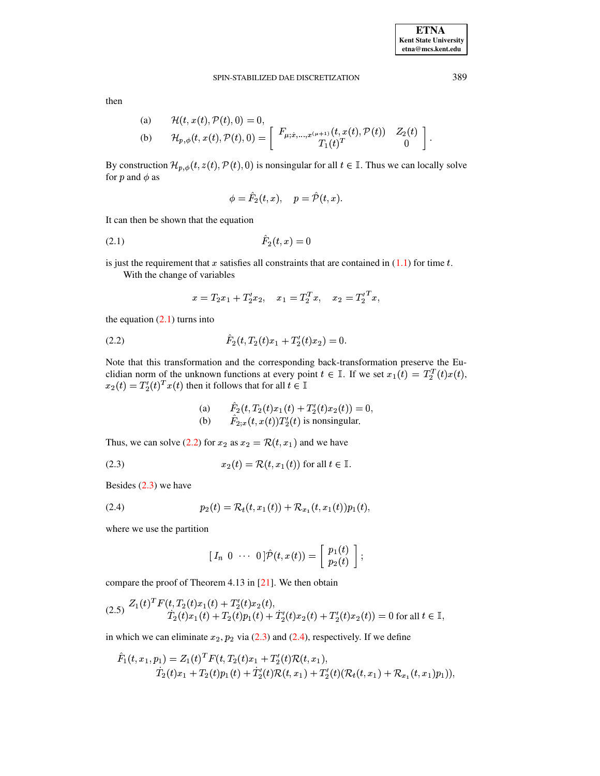389

then

(a) 
$$
\mathcal{H}(t, x(t), \mathcal{P}(t), 0) = 0,
$$
  
\n(b)  $\mathcal{H}_{p,\phi}(t, x(t), \mathcal{P}(t), 0) = \begin{bmatrix} F_{\mu; \dot{x}, ..., x^{(\mu+1)}}(t, x(t), \mathcal{P}(t)) & Z_2(t) \\ T_1(t)^T & 0 \end{bmatrix}.$ 

By construction  $\mathcal{H}_{p,\phi}(t, z(t), \mathcal{P}(t), 0)$  is nonsingular for all  $t \in \mathbb{I}$ . Thus we can locally solve for  $p$  and  $\phi$  as

<span id="page-4-0"></span>
$$
\phi=\hat{F}_2(t,x),\quad p=\hat{\mathcal{P}}(t,x).
$$

It can then be shown that the equation

$$
(2.1) \t\t\t F_2(t,x) = 0
$$

is just the requirement that x satisfies all constraints that are contained in  $(1.1)$  for time t.

With the change of variables

$$
x = T_2x_1 + T'_2x_2
$$
,  $x_1 = T_2^Tx$ ,  $x_2 = T'_2^Tx$ ,

the equation  $(2.1)$  turns into

<span id="page-4-1"></span>

Note that this transformation and the corresponding back-transformation preserve the Euclidian norm of the unknown functions at every point  $t \in \mathbb{I}$ . If we set  $x_1(t) = T_2^T(t)x(t)$ ,  $x_2(t) = T_2'(t)^T x(t)$  then it follows that for all  $t \in \mathbb{I}$ 

(a) 
$$
F_2(t, T_2(t)x_1(t) + T_2'(t)x_2(t)) = 0,
$$
  
(b) 
$$
\hat{F}_{2,x}(t, x(t))T_2'(t)
$$
 is nonsingular.

Thus, we can solve (2.2) for  $x_2$  as  $x_2 = \mathcal{R}(t, x_1)$  and we have

<span id="page-4-2"></span>(2.3) 
$$
x_2(t) = \mathcal{R}(t, x_1(t))
$$
 for all  $t \in \mathbb{I}$ .

Besides  $(2.3)$  we have

<span id="page-4-3"></span>(2.4) 
$$
p_2(t) = \mathcal{R}_t(t, x_1(t)) + \mathcal{R}_{x_1}(t, x_1(t)) p_1(t),
$$

where we use the partition

$$
\begin{bmatrix} I_n & 0 & \cdots & 0 \end{bmatrix} \hat{\mathcal{P}}(t, x(t)) = \begin{bmatrix} p_1(t) \\ p_2(t) \end{bmatrix};
$$

compare the proof of Theorem 4.13 in  $[21]$ . We then obtain

$$
(2.5) \frac{Z_1(t)^T F(t, T_2(t)x_1(t) + T_2'(t)x_2(t))}{T_2(t)x_1(t) + T_2(t)p_1(t) + T_2'(t)x_2(t) + T_2'(t)x_2(t)) = 0 \text{ for all } t \in \mathbb{I},
$$

in which we can eliminate  $x_2$ ,  $p_2$  via (2.3) and (2.4), respectively. If we define

$$
\hat{F}_1(t, x_1, p_1) = Z_1(t)^T F(t, T_2(t)x_1 + T_2'(t)\mathcal{R}(t, x_1),
$$
  
\n
$$
\hat{T}_2(t)x_1 + T_2(t)p_1(t) + \hat{T}_2'(t)\mathcal{R}(t, x_1) + T_2'(t)(\mathcal{R}_t(t, x_1) + \mathcal{R}_{x_1}(t, x_1)p_1)),
$$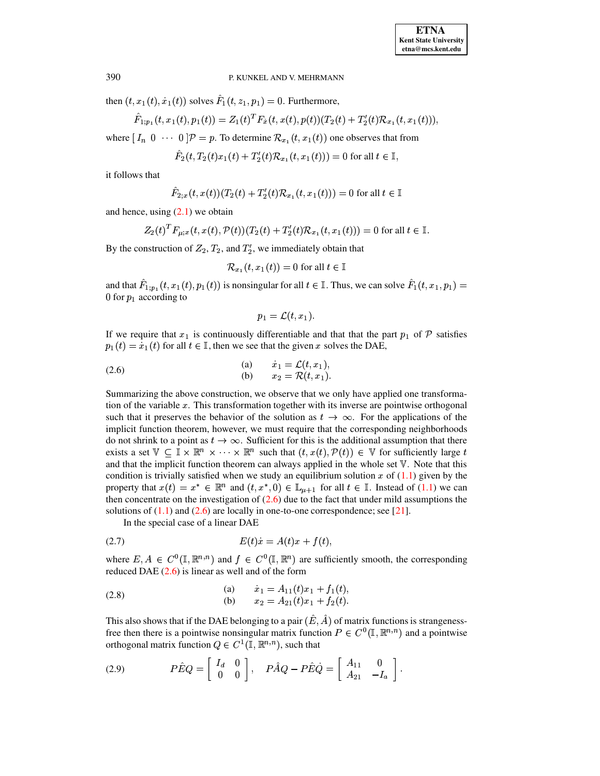then  $(t, x_1(t), \dot{x}_1(t))$  solves  $F_1(t, z_1, p_1) = 0$ . Furthermore,

$$
\hat{F}_{1;p_1}(t,x_1(t),p_1(t)) = Z_1(t)^T F_{\dot{x}}(t,x(t),p(t)) (T_2(t)+T_2'(t)\mathcal{R}_{x_1}(t,x_1(t))),
$$

where  $[I_n \ 0 \ \cdots \ 0]$   $\mathcal{P} = p$ . To determine  $\mathcal{R}_{x_1}(t, x_1(t))$  one observes that from

$$
\hat{F}_2(t, T_2(t)x_1(t) + T_2'(t)\mathcal{R}_{x_1}(t, x_1(t))) = 0 \text{ for all } t \in \mathbb{I},
$$

it follows that

$$
\hat{F}_{2;x}(t,x(t)) (T_2(t) + T_2'(t) \mathcal{R}_{x_1}(t,x_1(t))) = 0 \text{ for all } t \in \mathbb{I}
$$

and hence, using  $(2.1)$  we obtain

$$
Z_2(t)^T F_{\mu;x}(t,x(t),\mathcal{P}(t))(T_2(t)+T_2'(t)\mathcal{R}_{x_1}(t,x_1(t)))=0 \text{ for all } t\in\mathbb{I}.
$$

By the construction of  $Z_2, T_2$ , and  $T_2'$ , we immediately obtain that

$$
\mathcal{R}_{x_1}(t, x_1(t)) = 0 \text{ for all } t \in \mathbb{I}
$$

and that  $F_{1;p_1}(t, x_1(t), p_1(t))$  is nonsingular for all  $t \in \mathbb{I}$ . Thus, we can solve  $F_1(t, x_1, p_1) =$ 0 for  $p_1$  according to

$$
p_1 = \mathcal{L}(t,x_1).
$$

If we require that  $x_1$  is continuously differentiable and that that the part  $p_1$  of  $P$  satisfies  $p_1(t) = \dot{x}_1(t)$  for all  $t \in \mathbb{I}$ , then we see that the given x solves the DAE,

<span id="page-5-0"></span>(2.6)   
\n(a) 
$$
\dot{x}_1 = \mathcal{L}(t, x_1),
$$
  
\n(b)  $x_2 = \mathcal{R}(t, x_1).$ 

Summarizing the above construction, we observe that we only have applied one transformation of the variable  $x$ . This transformation together with its inverse are pointwise orthogonal such that it preserves the behavior of the solution as  $t \to \infty$ . For the applications of the implicit function theorem, however, we must require that the corresponding neighborhoods do not shrink to a point as  $t \to \infty$ . Sufficient for this is the additional assumption that there exists a set  $\mathbb{V} \subseteq \mathbb{I} \times \mathbb{R}^n \times \cdots \times \mathbb{R}^n$  such that  $(t, x(t), \mathcal{P}(t)) \in \mathbb{V}$  for sufficiently large t and that the implicit function theorem can always applied in the whole set  $V$ . Note that this condition is trivially satisfied when we study an equilibrium solution x of  $(1.1)$  given by the property that  $x(t) = x^* \in \mathbb{R}^n$  and  $(t, x^*, 0) \in \mathbb{L}_{\mu+1}$  for all  $t \in \mathbb{I}$ . Instead of [\(1.1\)](#page-0-0) we can then concentrate on the investigation of  $(2.6)$  due to the fact that under mild assumptions the solutions of  $(1.1)$  and  $(2.6)$  are locally in one-to-one correspondence; see [\[21\]](#page-35-2).

<span id="page-5-1"></span>In the special case of a linear DAE

$$
(2.7) \tE(t)\dot{x} = A(t)x + f(t),
$$

where  $E, A \in C^0(\mathbb{I}, \mathbb{R}^{n,n})$  and  $f \in C^0(\mathbb{I}, \mathbb{R}^n)$  are sufficiently smooth, the corresponding reduced DAE  $(2.6)$  is linear as well and of the form

<span id="page-5-2"></span>(2.8)   
\n(a) 
$$
\dot{x}_1 = A_{11}(t)x_1 + f_1(t),
$$
  
\n(b)  $x_2 = A_{21}(t)x_1 + f_2(t).$ 

This also shows that if the DAE belonging to a pair  $(E, A)$  of matrix functions is strangenessfree then there is a pointwise nonsingular matrix function  $P \in C^0(\mathbb{I}, \mathbb{R}^{n,n})$  and a pointwise orthogonal matrix function  $Q \in C^1(\mathbb{I}, \mathbb{R}^{n,n})$ , such that

<span id="page-5-3"></span>
$$
(2.9) \tP\hat{E}Q = \begin{bmatrix} I_d & 0 \\ 0 & 0 \end{bmatrix}, \tP\hat{A}Q - P\hat{E}\hat{Q} = \begin{bmatrix} A_{11} & 0 \\ A_{21} & -I_a \end{bmatrix}.
$$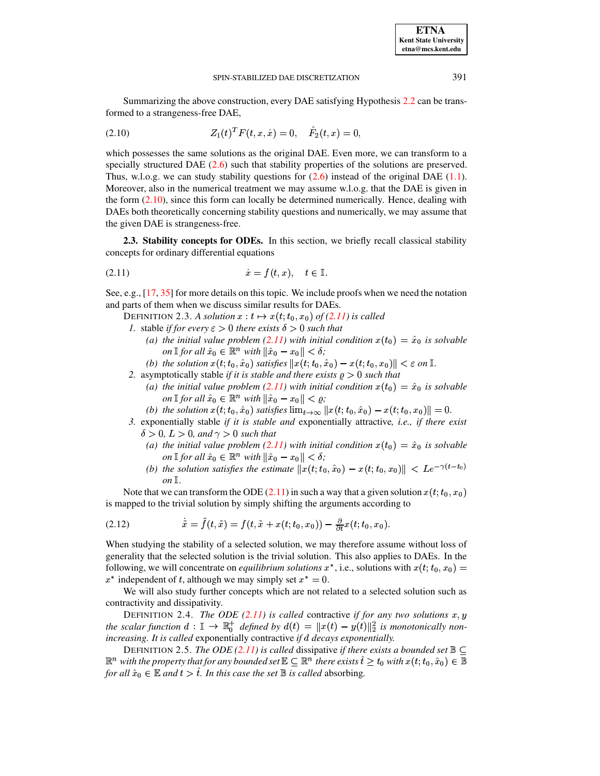Summarizing the above construction, every DAE satisfying Hypothesis [2.2](#page-2-0) can be transformed to a strangeness-free DAE,

<span id="page-6-0"></span>
$$
(2.10) \tZ_1(t)^T F(t, x, \dot{x}) = 0, \quad \hat{F}_2(t, x) = 0,
$$

which possesses the same solutions as the original DAE. Even more, we can transform to a specially structured DAE [\(2.6\)](#page-5-0) such that stability properties of the solutions are preserved. Thus, w.l.o.g. we can study stability questions for  $(2.6)$  instead of the original DAE  $(1.1)$ . Moreover, also in the numerical treatment we may assume w.l.o.g. that the DAE is given in the form [\(2.10\)](#page-6-0), since this form can locally be determined numerically. Hence, dealing with DAEs both theoretically concerning stability questions and numerically, we may assume that the given DAE is strangeness-free.

<span id="page-6-5"></span>**2.3. Stability concepts for ODEs.** In this section, we briefly recall classical stability concepts for ordinary differential equations

$$
(2.11) \t\t\t \dot{x} = f(t, x), \quad t \in \mathbb{I}.
$$

See, e.g., [\[17,](#page-35-19) [35\]](#page-35-20) for more details on this topic. We include proofs when we need the notation and parts of them when we discuss similar results for DAEs.

<span id="page-6-1"></span>DEFINITION 2.3. A solution  $x : t \mapsto x(t;t_0,x_0)$  of [\(2.11\)](#page-6-1) is called

- <span id="page-6-3"></span>*1.* stable *if for every*  $\epsilon > 0$  *there exists*  $\delta > 0$  *such that* 
	- (a) the initial value problem [\(2.11\)](#page-6-1) with initial condition  $x(t_0) = \hat{x}_0$  is solvable *on*  $\mathbb{I}$  *for all*  $\hat{x}_0 \in \mathbb{R}^n$  *with*  $\|\hat{x}_0 - x_0\| < \delta$ ;
	- *(b)* the solution  $x(t; t_0, \hat{x}_0)$  satisfies  $||x(t; t_0, \hat{x}_0) x(t; t_0, x_0)|| < \varepsilon$  on  $\mathbb{I}$ .
- *2.* asymptotically stable *if it is stable and there exists*  $\varrho > 0$  *such that* 
	- (a) the initial value problem [\(2.11\)](#page-6-1) with initial condition  $x(t_0) = \hat{x}_0$  is solvable *on*  $\mathbb{I}$  *for all*  $\hat{x}_0 \in \mathbb{R}^n$  *with*  $\|\hat{x}_0 - x_0\| < \varrho$ ;
	- *(b)* the solution  $x(t; t_0, \hat{x}_0)$  satisfies  $\lim_{t\to\infty} ||x(t; t_0, \hat{x}_0) x(t; t_0, x_0)|| = 0$ .
- *3.* exponentially stable *if it is stable and* exponentially attractive*, i.e., if there exist* <sup>8</sup>  $> 0, L > 0, and \gamma > 0$  *such that* 
	- (a) the initial value problem [\(2.11\)](#page-6-1) with initial condition  $x(t_0) = \hat{x}_0$  is solvable *on*  $\mathbb{I}$  *for all*  $\hat{x}_0 \in \mathbb{R}^n$  *with*  $\|\hat{x}_0 - x_0\| < \delta$ ;
	- *(b)* the solution satisfies the estimate  $||x(t; t_0, \hat{x}_0) x(t; t_0, x_0)|| < L e^{-\gamma(t-t_0)}$  $\mathfrak{O}n \mathbb{I}$ .

Note that we can transform the ODE [\(2.11\)](#page-6-1) in such a way that a given solution  $x(t; t_0, x_0)$ is mapped to the trivial solution by simply shifting the arguments according to

<span id="page-6-2"></span>(2.12) 
$$
\dot{\tilde{x}} = \tilde{f}(t, \tilde{x}) = f(t, \tilde{x} + x(t; t_0, x_0)) - \frac{\partial}{\partial t}x(t; t_0, x_0).
$$

When studying the stability of a selected solution, we may therefore assume without loss of generality that the selected solution is the trivial solution. This also applies to DAEs. In the following, we will concentrate on *equilibrium solutions*  $x^*$ , i.e., solutions with  $x(t; t_0, x_0) =$  $x^*$  independent of t, although we may simply set  $x^* = 0$ .

We will also study further concepts which are not related to a selected solution such as contractivity and dissipativity.

DEFINITION 2.4. *The ODE* [\(2.11\)](#page-6-1) is called contractive if for any two solutions  $x, y$ *the scalar function*  $d: \mathbb{I} \to \mathbb{R}_0^+$  *defined by*  $d(t) = ||x(t) - y(t)||_2^2$  *is monotonically nonincreasing. It is called exponentially contractive <i>if d decays exponentially.* 

<span id="page-6-4"></span>DEFINITION 2.5. *The ODE* [\(2.11\)](#page-6-1) *is called* dissipative *if there exists a bounded set*  $\mathbb{B} \subseteq$  $\mathbb{R}^n$  with the property that for any bounded set  $\mathbb{E}\subseteq \mathbb{R}^n$  there exists  $\hat{t}\geq t_0$  with  $x(t;t_0,\hat{x}_0)\in \mathbb{B}$ *for all*  $\hat{x}_0 \in \mathbb{E}$  *and*  $t > \hat{t}$ *. In this case the set*  $\mathbb{B}$  *is called* absorbing*.*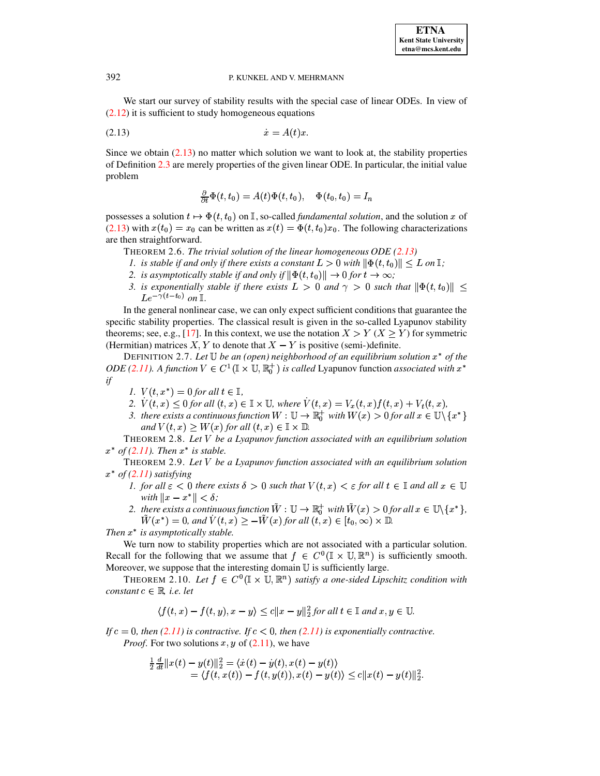We start our survey of stability results with the special case of linear ODEs. In view of  $(2.12)$  it is sufficient to study homogeneous equations

$$
(2.13) \t\t\t \dot{x} = A(t)x
$$

Since we obtain  $(2.13)$  no matter which solution we want to look at, the stability properties of Definition 2.3 are merely properties of the given linear ODE. In particular, the initial value problem

<span id="page-7-0"></span>
$$
\frac{\partial}{\partial t}\Phi(t,t_0) = A(t)\Phi(t,t_0), \quad \Phi(t_0,t_0) = I_n
$$

possesses a solution  $t \mapsto \Phi(t, t_0)$  on  $\mathbb{I}$ , so-called *fundamental solution*, and the solution x of  $(2.13)$  with  $x(t_0) = x_0$  can be written as  $x(t) = \Phi(t, t_0)x_0$ . The following characterizations are then straightforward.

- THEOREM 2.6. The trivial solution of the linear homogeneous ODE  $(2.13)$
- 1. is stable if and only if there exists a constant  $L > 0$  with  $\|\Phi(t, t_0)\| < L$  on  $\mathbb{I}$ ;
- 2. is asymptotically stable if and only if  $\|\Phi(t,t_0)\| \to 0$  for  $t \to \infty$ ;
- 3. is exponentially stable if there exists  $L > 0$  and  $\gamma > 0$  such that  $\|\Phi(t, t_0)\|$  <  $Le^{-\gamma(t-t_0)}$  on  $\mathbb{I}$ .

In the general nonlinear case, we can only expect sufficient conditions that guarantee the specific stability properties. The classical result is given in the so-called Lyapunov stability theorems; see, e.g., [17]. In this context, we use the notation  $X > Y$  ( $X \ge Y$ ) for symmetric (Hermitian) matrices X, Y to denote that  $X - Y$  is positive (semi-)definite.

DEFINITION 2.7. Let  $\mathbb U$  be an (open) neighborhood of an equilibrium solution  $x^*$  of the *ODE* (2.11). A function  $V \in C^1(\mathbb{I} \times \mathbb{U}, \mathbb{R}^+_0)$  is called Lyapunov function associated with  $x^*$  $if$ 

- 1.  $V(t, x^*) = 0$  for all  $t \in \mathbb{I}$ ,
- 2.  $V(t, x) \leq 0$  for all  $(t, x) \in \mathbb{I} \times \mathbb{U}$ , where  $V(t, x) = V_x(t, x)f(t, x) + V_t(t, x)$ ,
- 3. there exists a continuous function  $W: \mathbb{U} \to \mathbb{R}^+_0$  with  $W(x) > 0$  for all  $x \in \mathbb{U} \setminus \{x^*\}$ and  $V(t, x) \geq W(x)$  for all  $(t, x) \in \mathbb{I} \times \mathbb{D}$ .

<span id="page-7-1"></span>THEOREM 2.8. Let  $V$  be a Lyapunov function associated with an equilibrium solution  $x^*$  of (2.11). Then  $x^*$  is stable.

THEOREM 2.9. Let  $V$  be a Lyapunov function associated with an equilibrium solution  $x^*$  of (2.11) satisfying

- <span id="page-7-2"></span>1. for all  $\varepsilon$  < 0 there exists  $\delta > 0$  such that  $V(t, x) < \varepsilon$  for all  $t \in \mathbb{I}$  and all  $x \in \mathbb{U}$ with  $||x - x^*|| < \delta$ ;
- 2. there exists a continuous function  $\tilde{W}: \mathbb{U} \to \mathbb{R}_0^+$  with  $\tilde{W}(x) > 0$  for all  $x \in \mathbb{U} \setminus \{x^*\},$  $\tilde{W}(x^*) = 0$ , and  $\tilde{V}(t, x) \geq -\tilde{W}(x)$  for all  $(t, x) \in [t_0, \infty) \times \mathbb{D}$ .

Then  $x^*$  is asymptotically stable.

We turn now to stability properties which are not associated with a particular solution. Recall for the following that we assume that  $f \in C^0(\mathbb{I} \times \mathbb{U}, \mathbb{R}^n)$  is sufficiently smooth. Moreover, we suppose that the interesting domain  $U$  is sufficiently large.

<span id="page-7-3"></span>THEOREM 2.10. Let  $f \in C^0(\mathbb{I} \times \mathbb{U}, \mathbb{R}^n)$  satisfy a one-sided Lipschitz condition with constant  $c \in \mathbb{R}$ , *i.e.* let

$$
\langle f(t,x)-f(t,y),x-y\rangle \le c||x-y||_2^2 \text{ for all } t \in \mathbb{I} \text{ and } x,y \in \mathbb{U}.
$$

If  $c = 0$ , then (2.11) is contractive. If  $c < 0$ , then (2.11) is exponentially contractive. *Proof.* For two solutions x, y of  $(2.11)$ , we have

$$
\begin{array}{l}\frac{1}{2}\frac{d}{dt}\|x(t)-y(t)\|_2^2=\langle \dot{x}(t)-\dot{y}(t),x(t)-y(t)\rangle\\=\langle f(t,x(t))-f(t,y(t)),x(t)-y(t)\rangle\leq c\|x(t)-y(t)\|_2^2.\end{array}
$$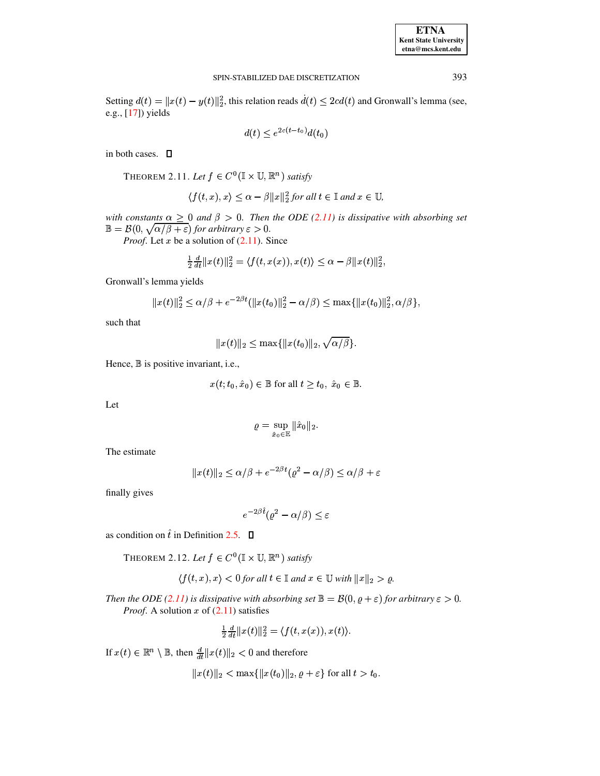| <b>ETNA</b>                  |
|------------------------------|
| <b>Kent State University</b> |
| etna@mcs.kent.edu            |

Setting  $d(t) = ||x(t) - y(t)||_2^2$ , this relation reads  $d(t) \le 2cd(t)$  and Gronwall's lemma (see, e.g., [17]) yields

$$
d(t) < e^{2c(t - t_0)}d(t_0)
$$

<span id="page-8-0"></span>in both cases.  $\square$ 

THEOREM 2.11. Let  $f \in C^0(\mathbb{I} \times \mathbb{U}, \mathbb{R}^n)$  satisfy

$$
\langle f(t,x),x\rangle \leq \alpha - \beta ||x||_2^2
$$
 for all  $t \in \mathbb{I}$  and  $x \in \mathbb{U}$ ,

with constants  $\alpha \geq 0$  and  $\beta > 0$ . Then the ODE (2.11) is dissipative with absorbing set  $\mathbb{B} = \mathcal{B}(0, \sqrt{\alpha/\beta + \varepsilon})$  for arbitrary  $\varepsilon > 0$ .

*Proof.* Let  $x$  be a solution of  $(2.11)$ . Since

$$
\frac{1}{2}\frac{d}{dt}||x(t)||_2^2 = \langle f(t, x(x)), x(t) \rangle \leq \alpha - \beta ||x(t)||_2^2,
$$

Gronwall's lemma yields

$$
||x(t)||_2^2 \le \alpha/\beta + e^{-2\beta t} (||x(t_0)||_2^2 - \alpha/\beta) \le \max{||x(t_0)||_2^2, \alpha/\beta}
$$

such that

 $||x(t)||_2 \leq \max\{||x(t_0)||_2, \sqrt{\alpha/\beta}\}.$ 

Hence, B is positive invariant, i.e.,

$$
x(t; t_0, \hat{x}_0) \in \mathbb{B} \text{ for all } t \ge t_0, \ \hat{x}_0 \in \mathbb{B}
$$

Let

$$
\varrho=\sup_{\hat{x}_0\in\mathbb{E}}\|\hat{x}_0\|_2.
$$

The estimate

$$
||x(t)||_2 \le \alpha/\beta + e^{-2\beta t}(\varrho^2 - \alpha/\beta) \le \alpha/\beta + \varepsilon
$$

finally gives

$$
e^{-2\beta \hat{t}} (\varrho^2 - \alpha/\beta) \le \varepsilon
$$

as condition on  $\hat{t}$  in Definition 2.5.  $\Box$ 

THEOREM 2.12. Let  $f \in C^0(\mathbb{I} \times \mathbb{U}, \mathbb{R}^n)$  satisfy

<span id="page-8-1"></span>
$$
\langle f(t,x),x\rangle < 0
$$
 for all  $t \in \mathbb{I}$  and  $x \in \mathbb{U}$  with  $||x||_2 > \varrho$ .

Then the ODE (2.11) is dissipative with absorbing set  $\mathbb{B} = \mathcal{B}(0, \varrho + \varepsilon)$  for arbitrary  $\varepsilon > 0$ . *Proof.* A solution x of  $(2.11)$  satisfies

$$
\frac{1}{2}\frac{d}{dt}||x(t)||_2^2 = \langle f(t,x(x)), x(t) \rangle.
$$

If  $x(t) \in \mathbb{R}^n \setminus \mathbb{B}$ , then  $\frac{d}{dt} ||x(t)||_2 < 0$  and therefore

$$
||x(t)||_2 < \max{||x(t_0)||_2, \varrho + \varepsilon}
$$
 for all  $t > t_0$ .

393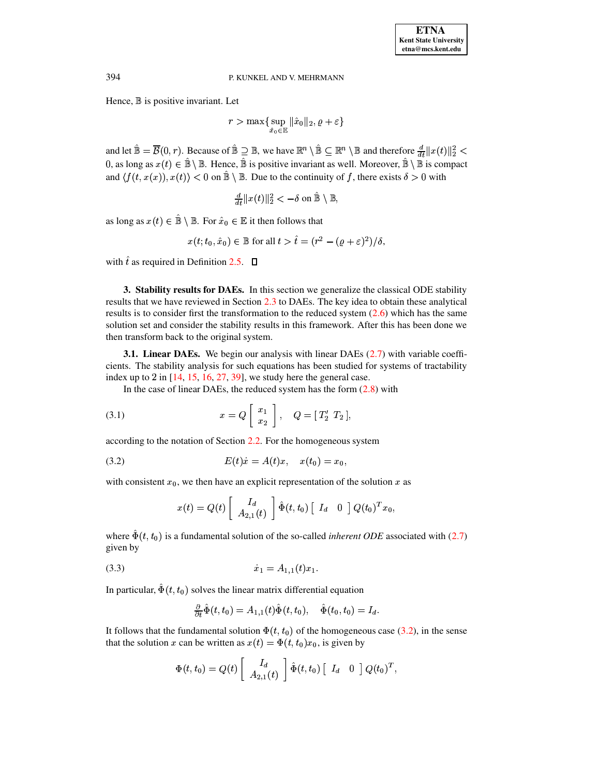Hence,  $\mathbb B$  is positive invariant. Let

 $r > \max\{\sup \|\hat{x}_0\|_2, \varrho-\}$  $\sup_{\hat{x}_0 \in \mathbb{R}} \|\hat{x}_0\|_2, \varrho + \varepsilon\}$ 

and let  $\hat{\mathbb{B}} = \overline{\mathcal{B}}(0,r)$ . Because of  $\hat{\mathbb{B}} \supseteq \mathbb{B}$ , we have  $\mathbb{R}^n \setminus \hat{\mathbb{B}} \subseteq \mathbb{R}^n \setminus \mathbb{B}$  and therefore  $\frac{d}{dt} ||x(t)||_2^2 < \frac{1}{t}$ 0, as long as  $x(t) \in \mathbb{B} \setminus \mathbb{B}$ . Hence,  $\mathbb{B}$  is positive invariant as well. Moreover,  $\mathbb{B} \setminus \mathbb{B}$  is compact and  $\langle f(t, x(x)), x(t) \rangle < 0$  on  $\mathbb{B} \setminus \mathbb{B}$ . Due to the continuity of f, there exists  $\delta > 0$  with

$$
\frac{d}{dt}||x(t)||_2^2 < -\delta \text{ on } \hat{\mathbb{B}} \setminus \mathbb{B},
$$

as long as  $x(t) \in \mathbb{B} \setminus \mathbb{B}$ . For  $\hat{x}_0 \in \mathbb{E}$  it then follows that

$$
x(t; t_0, \hat{x}_0) \in \mathbb{B}
$$
 for all  $t > \hat{t} = (r^2 - (\varrho + \varepsilon)^2)/\delta$ ,

with  $\hat{t}$  as required in Definition [2.5.](#page-6-4)

<span id="page-9-0"></span>**3. Stability results for DAEs.** In this section we generalize the classical ODE stability results that we have reviewed in Section [2.3](#page-6-5) to DAEs. The key idea to obtain these analytical results is to consider first the transformation to the reduced system  $(2.6)$  which has the same solution set and consider the stability results in this framework. After this has been done we then transform back to the original system.

**3.1. Linear DAEs.** We begin our analysis with linear DAEs [\(2.7\)](#page-5-1) with variable coefficients. The stability analysis for such equations has been studied for systems of tractability index up to 2 in  $[14, 15, 16, 27, 39]$  $[14, 15, 16, 27, 39]$  $[14, 15, 16, 27, 39]$  $[14, 15, 16, 27, 39]$  $[14, 15, 16, 27, 39]$  $[14, 15, 16, 27, 39]$  $[14, 15, 16, 27, 39]$  $[14, 15, 16, 27, 39]$  $[14, 15, 16, 27, 39]$ , we study here the general case.

<span id="page-9-3"></span>In the case of linear DAEs, the reduced system has the form [\(2.8\)](#page-5-2) with

(3.1) 
$$
x = Q\left[\begin{array}{c} x_1 \\ x_2 \end{array}\right], \quad Q = [T'_2 \ T_2],
$$

according to the notation of Section [2.2.](#page-2-1) For the homogeneous system

(3.2) 
$$
E(t)\dot{x} = A(t)x, \quad x(t_0) = x_0,
$$

with consistent  $x_0$ , we then have an explicit representation of the solution x as

<span id="page-9-1"></span>
$$
x(t) = Q(t) \left[ \begin{array}{c} I_d \\ A_{2,1}(t) \end{array} \right] \hat{\Phi}(t,t_0) \left[ \begin{array}{cc} I_d & 0 \end{array} \right] Q(t_0)^T x_0,
$$

where  $\Phi(t, t_0)$  is a fundamental solution of the so-called *inherent ODE* associated with [\(2.7\)](#page-5-1) given by

?oØg? <sup>e</sup> ?M H?·\ (3.3)

In particular,  $\Phi(t,t_0)$  solves the linear matrix differential equation

<span id="page-9-2"></span>
$$
\frac{\partial}{\partial t}\tilde{\Phi}(t,t_0)=A_{1,1}(t)\tilde{\Phi}(t,t_0),\quad \tilde{\Phi}(t_0,t_0)=I_d.
$$

It follows that the fundamental solution  $\Phi(t,t_0)$  of the homogeneous case [\(3.2\)](#page-9-1), in the sense that the solution x can be written as  $x(t) = \Phi(t, t_0) x_0$ , is given by

$$
\Phi(t,t_0) = Q(t) \left[ \begin{array}{c} I_d \\ A_{2,1}(t) \end{array} \right] \hat{\Phi}(t,t_0) \left[ \begin{array}{cc} I_d & 0 \end{array} \right] Q(t_0)^T,
$$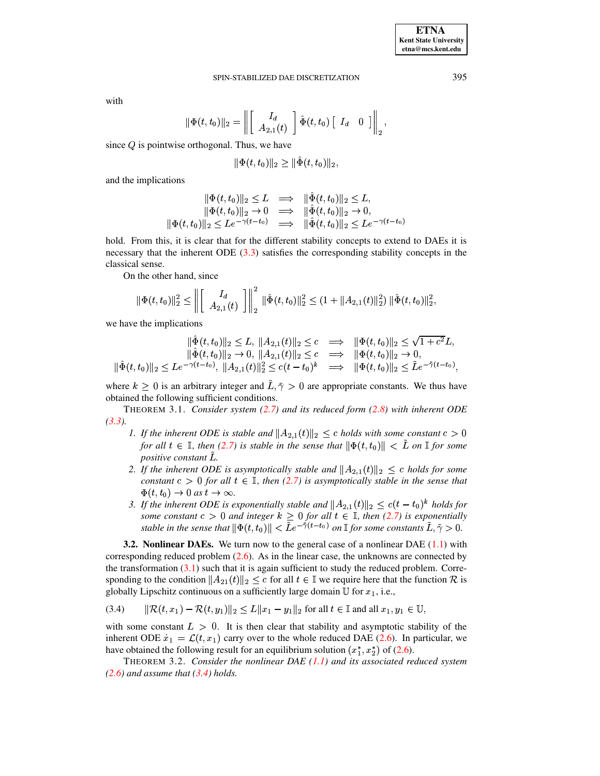with

$$
|\Phi(t,t_0)||_2 = \left\| \begin{bmatrix} I_d \\ A_{2,1}(t) \end{bmatrix} \hat{\Phi}(t,t_0) \begin{bmatrix} I_d & 0 \end{bmatrix} \right\|_2,
$$

since  $Q$  is pointwise orthogonal. Thus, we have

$$
\|\Phi(t,t_0)\|_2 \ge \|\tilde{\Phi}(t,t_0)\|_2,
$$

and the implications

$$
\begin{aligned}\n\|\Phi(t,t_0)\|_2 &\leq L &\implies \|\hat{\Phi}(t,t_0)\|_2 \leq L, \\
\|\Phi(t,t_0)\|_2 &\to 0 &\implies \|\hat{\Phi}(t,t_0)\|_2 \to 0, \\
\|\Phi(t,t_0)\|_2 &\leq L e^{-\gamma(t-t_0)} &\implies \|\hat{\Phi}(t,t_0)\|_2 \leq L e^{-\gamma(t-t_0)}\n\end{aligned}
$$

hold. From this, it is clear that for the different stability concepts to extend to DAEs it is necessary that the inherent ODE  $(3.3)$  satisfies the corresponding stability concepts in the classical sense.

On the other hand, since

$$
\|\Phi(t,t_0)\|_2^2 \le \left\| \begin{bmatrix} I_d \\ A_{2,1}(t) \end{bmatrix} \right\|_2^2 \|\hat{\Phi}(t,t_0)\|_2^2 \le (1 + \|A_{2,1}(t)\|_2^2) \|\hat{\Phi}(t,t_0)\|_2^2
$$

we have the implications

$$
\|\tilde{\Phi}(t,t_0)\|_2 \leq L, \|A_{2,1}(t)\|_2 \leq c \implies \|\Phi(t,t_0)\|_2 \leq \sqrt{1+c^2}L,
$$
  

$$
\|\tilde{\Phi}(t,t_0)\|_2 \to 0, \|A_{2,1}(t)\|_2 \leq c \implies \|\Phi(t,t_0)\|_2 \to 0,
$$
  

$$
|\tilde{\Phi}(t,t_0)\|_2 \leq Le^{-\gamma(t-t_0)}, \|A_{2,1}(t)\|_2^2 \leq c(t-t_0)^k \implies \|\Phi(t,t_0)\|_2 \leq \tilde{L}e^{-\tilde{\gamma}(t-t_0)},
$$

where  $k \geq 0$  is an arbitrary integer and  $\tilde{L}, \tilde{\gamma} > 0$  are appropriate constants. We thus have obtained the following sufficient conditions.

THEOREM 3.1. Consider system  $(2.7)$  and its reduced form  $(2.8)$  with inherent ODE  $(3.3).$ 

- <span id="page-10-1"></span>1. If the inherent ODE is stable and  $||A_{2,1}(t)||_2 \le c$  holds with some constant  $c > 0$ for all  $t \in \mathbb{I}$ , then (2.7) is stable in the sense that  $\|\Phi(t,t_0)\| < L$  on  $\mathbb{I}$  for some positive constant L.
- 2. If the inherent ODE is asymptotically stable and  $||A_{2,1}(t)||_2 \leq c$  holds for some constant  $c > 0$  for all  $t \in \mathbb{I}$ , then (2.7) is asymptotically stable in the sense that  $\Phi(t,t_0) \rightarrow 0$  as  $t \rightarrow \infty$ .
- 3. If the inherent ODE is exponentially stable and  $||A_{2,1}(t)||_2 \leq c(t-t_0)^k$  holds for some constant  $c > 0$  and integer  $k \ge 0$  for all  $t \in \mathbb{I}$ , then (2.7) is exponentially stable in the sense that  $\|\Phi(t,t_0)\| < \tilde{L}e^{-\tilde{\gamma}(t-t_0)}$  on  $\mathbb{I}$  for some constants  $\tilde{L}, \tilde{\gamma} > 0$ .

**3.2. Nonlinear DAEs.** We turn now to the general case of a nonlinear DAE  $(1.1)$  with corresponding reduced problem  $(2.6)$ . As in the linear case, the unknowns are connected by the transformation  $(3.1)$  such that it is again sufficient to study the reduced problem. Corresponding to the condition  $||A_{21}(t)||_2 \leq c$  for all  $t \in \mathbb{I}$  we require here that the function  $\mathcal{R}$  is globally Lipschitz continuous on a sufficiently large domain  $U$  for  $x_1$ , i.e.,

<span id="page-10-0"></span>
$$
(3.4) \qquad \|\mathcal{R}(t,x_1) - \mathcal{R}(t,y_1)\|_2 \le L\|x_1 - y_1\|_2 \text{ for all } t \in \mathbb{I} \text{ and all } x_1, y_1 \in \mathbb{U},
$$

with some constant  $L > 0$ . It is then clear that stability and asymptotic stability of the inherent ODE  $\dot{x}_1 = \mathcal{L}(t, x_1)$  carry over to the whole reduced DAE (2.6). In particular, we have obtained the following result for an equilibrium solution  $(x_1^*, x_2^*)$  of (2.6).

THEOREM 3.2. Consider the nonlinear DAE  $(1.1)$  and its associated reduced system  $(2.6)$  and assume that  $(3.4)$  holds.

395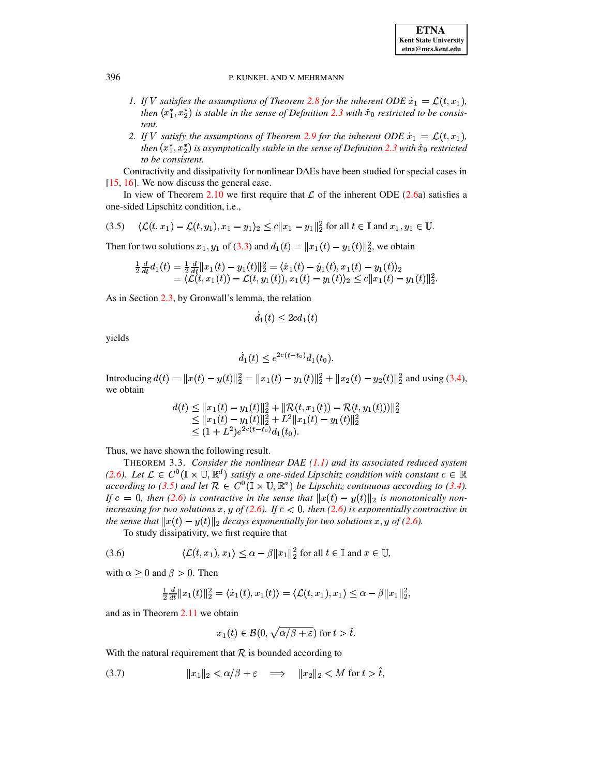- 1. If V satisfies the assumptions of Theorem 2.8 for the inherent ODE  $\dot{x}_1 = \mathcal{L}(t, x_1)$ , then  $(x_1^*, x_2^*)$  is stable in the sense of Definition 2.3 with  $\hat{x}_0$  restricted to be consistent.
- 2. If V satisfy the assumptions of Theorem 2.9 for the inherent ODE  $\dot{x}_1 = \mathcal{L}(t, x_1)$ , then  $(x_1^*, x_2^*)$  is asymptotically stable in the sense of Definition 2.3 with  $\hat{x}_0$  restricted to be consistent.

Contractivity and dissipativity for nonlinear DAEs have been studied for special cases in  $[15, 16]$ . We now discuss the general case.

In view of Theorem 2.10 we first require that  $\mathcal L$  of the inherent ODE (2.6a) satisfies a one-sided Lipschitz condition, *i.e.*,

<span id="page-11-0"></span>
$$
(3.5) \quad \langle \mathcal{L}(t, x_1) - \mathcal{L}(t, y_1), x_1 - y_1 \rangle_2 \le c \|x_1 - y_1\|_2^2 \text{ for all } t \in \mathbb{I} \text{ and } x_1, y_1 \in \mathbb{U}.
$$

Then for two solutions  $x_1, y_1$  of (3.3) and  $d_1(t) = ||x_1(t) - y_1(t)||_2^2$ , we obtain

$$
\begin{array}{l} \frac{1}{2}\frac{d}{dt}d_1(t)=\frac{1}{2}\frac{d}{dt}\|x_1(t)-y_1(t)\|_2^2=\langle \dot{x}_1(t)-\dot{y}_1(t),x_1(t)-y_1(t)\rangle_2 \\ =\langle \mathcal{L}(t,x_1(t)) - \mathcal{L}(t,y_1(t)),x_1(t)-y_1(t)\rangle_2 \leq c\|x_1(t)-y_1(t)\|_2^2.\end{array}
$$

As in Section 2.3, by Gronwall's lemma, the relation

$$
d_1(t) \le 2cd_1(t)
$$

yields

$$
d_1(t) \le e^{2c(t-t_0)} d_1(t_0)
$$

Introducing  $d(t) = ||x(t) - y(t)||_2^2 = ||x_1(t) - y_1(t)||_2^2 + ||x_2(t) - y_2(t)||_2^2$  and using (3.4), we obtain

$$
\begin{array}{l} d(t)\leq \|x_1(t)-y_1(t)\|_2^2+\|\mathcal{R}(t,x_1(t))-\mathcal{R}(t,y_1(t)))\|_2^2\\ \leq \|x_1(t)-y_1(t)\|_2^2+L^2\|x_1(t)-y_1(t)\|_2^2\\ \leq (1+L^2)e^{2c(t-t_0)}d_1(t_0).\end{array}
$$

Thus, we have shown the following result.

THEOREM 3.3. Consider the nonlinear DAE  $(1.1)$  and its associated reduced system (2.6). Let  $\mathcal{L} \in C^0(\mathbb{I} \times \mathbb{U}, \mathbb{R}^d)$  satisfy a one-sided Lipschitz condition with constant  $c \in \mathbb{R}$ according to (3.5) and let  $\mathcal{R} \in C^0(\mathbb{I} \times \mathbb{U}, \mathbb{R}^a)$  be Lipschitz continuous according to (3.4). If  $c = 0$ , then (2.6) is contractive in the sense that  $||x(t) - y(t)||_2$  is monotonically nonincreasing for two solutions x, y of (2.6). If  $c < 0$ , then (2.6) is exponentially contractive in the sense that  $||x(t) - y(t)||_2$  decays exponentially for two solutions x, y of (2.6).

To study dissipativity, we first require that

<span id="page-11-1"></span>
$$
(3.6) \qquad \langle \mathcal{L}(t, x_1), x_1 \rangle \le \alpha - \beta \|x_1\|_2^2 \text{ for all } t \in \mathbb{I} \text{ and } x \in \mathbb{U},
$$

with  $\alpha \geq 0$  and  $\beta > 0$ . Then

$$
\frac{1}{2}\frac{d}{dt}||x_1(t)||_2^2 = \langle \dot{x}_1(t), x_1(t) \rangle = \langle \mathcal{L}(t, x_1), x_1 \rangle \leq \alpha - \beta ||x_1||_2^2,
$$

and as in Theorem  $2.11$  we obtain

$$
x_1(t) \in \mathcal{B}(0, \sqrt{\alpha/\beta + \varepsilon}) \text{ for } t > \hat{t}.
$$

With the natural requirement that  $R$  is bounded according to

<span id="page-11-2"></span>
$$
(3.7) \t\t\t ||x_1||_2 < \alpha/\beta + \varepsilon \implies ||x_2||_2 < M \text{ for } t > \tilde{t},
$$

396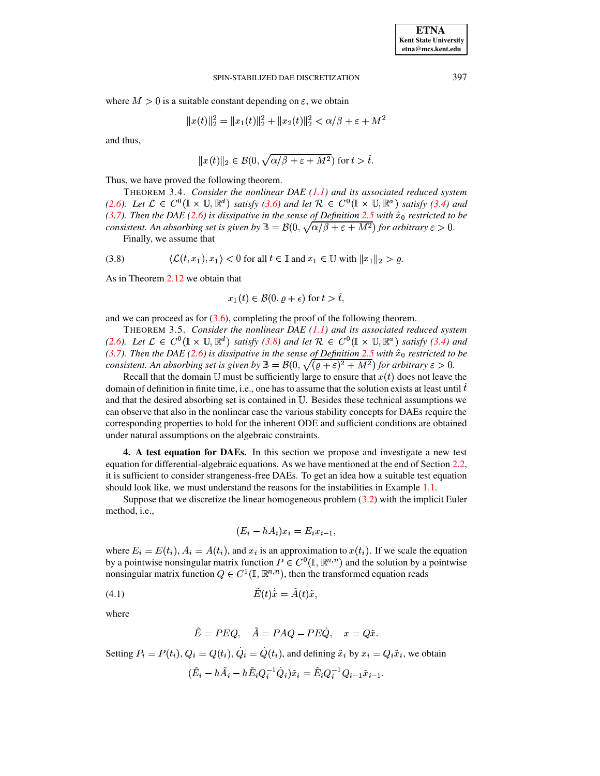where  $M > 0$  is a suitable constant depending on  $\varepsilon$ , we obtain

$$
||x(t)||_2^2 = ||x_1(t)||_2^2 + ||x_2(t)||_2^2 < \alpha/\beta + \varepsilon + M^2
$$

and thus,

$$
||x(t)||_2 \in \mathcal{B}(0, \sqrt{\alpha/\beta + \varepsilon + M^2}) \text{ for } t > \hat{t}.
$$

Thus, we have proved the following theorem.

THEOREM 3.4. *Consider the nonlinear DAE [\(1.1\)](#page-0-0) and its associated reduced system* [\(2.6\)](#page-5-0)*.* Let  $\mathcal{L} \in C^0(\mathbb{I} \times \mathbb{U}, \mathbb{R}^d)$  *satisfy* [\(3.6\)](#page-11-1) and let  $\mathcal{R} \in C^0(\mathbb{I} \times \mathbb{U}, \mathbb{R}^a)$  *satisfy* [\(3.4\)](#page-10-0) and *[\(3.7\)](#page-11-2). Then the DAE* [\(2.6\)](#page-5-0) *is dissipative in the sense of Definition* [2.5](#page-6-4) *with*  $\hat{x}_0$  *restricted to be consistent. An absorbing set is given by*  $\mathbb{B} = \mathcal{B}(0, \sqrt{\alpha/\beta + \varepsilon + M^2})$  for  $\alpha$  $\frac{\partial^2 f}{\partial x^2} + \varepsilon + M^2$  for arbitrary  $\varepsilon > 0$ .

Finally, we assume that

<span id="page-12-1"></span>
$$
(3.8) \qquad \langle \mathcal{L}(t, x_1), x_1 \rangle < 0 \text{ for all } t \in \mathbb{I} \text{ and } x_1 \in \mathbb{U} \text{ with } ||x_1||_2 > \varrho.
$$

As in Theorem [2.12](#page-8-1) we obtain that

$$
x_1(t) \in \mathcal{B}(0, \varrho + \epsilon)
$$
 for  $t > \hat{t}$ ,

and we can proceed as for  $(3.6)$ , completing the proof of the following theorem.

THEOREM 3.5. *Consider the nonlinear DAE [\(1.1\)](#page-0-0) and its associated reduced system* [\(2.6\)](#page-5-0). Let  $\mathcal{L} \in C^0(\mathbb{I} \times \mathbb{U}, \mathbb{R}^d)$  *satisfy* [\(3.8\)](#page-12-1) and let  $\mathcal{R} \in C^0(\mathbb{I} \times \mathbb{U}, \mathbb{R}^a)$  *satisfy* [\(3.4\)](#page-10-0) and *[\(3.7\)](#page-11-2). Then the DAE* [\(2.6\)](#page-5-0) *is dissipative in the sense of Definition* [2.5](#page-6-4) *with*  $\hat{x}_0$  *restricted to be consistent. An absorbing set is given by*  $\mathbb{B} = B(0, \sqrt{(\varrho + \varepsilon)^2 + M^2})$  for arbitrary  $\varepsilon > 0$ .

Recall that the domain U must be sufficiently large to ensure that  $x(t)$  does not leave the domain of definition in finite time, i.e., one has to assume that the solution exists at least until  $\hat{t}$ and that the desired absorbing set is contained in  $U$ . Besides these technical assumptions we can observe that also in the nonlinear case the various stability concepts for DAEs require the corresponding properties to hold for the inherent ODE and sufficient conditions are obtained under natural assumptions on the algebraic constraints.

<span id="page-12-0"></span>**4. A test equation for DAEs.** In this section we propose and investigate a new test equation for differential-algebraic equations. As we have mentioned at the end of Section [2.2,](#page-2-1) it is sufficient to consider strangeness-free DAEs. To get an idea how a suitable test equation should look like, we must understand the reasons for the instabilities in Example [1.1.](#page-1-0)

Suppose that we discretize the linear homogeneous problem  $(3.2)$  with the implicit Euler method, i.e.,

$$
(E_i - hA_i)x_i = E_i x_{i-1},
$$

where  $E_i = E(t_i)$ ,  $A_i = A(t_i)$ , and  $x_i$  is an approximation to  $x(t_i)$ . If we scale the equation by a pointwise nonsingular matrix function  $P \in C^0(\mathbb{I}, \mathbb{R}^{n,n})$  and the solution by a pointwise nonsingular matrix function  $Q \in C^1(\mathbb{I}, \mathbb{R}^{n,n})$ , then the transformed equation reads

$$
(4.1) \t\t \tilde{E}(t)\tilde{x} = \tilde{A}(t)\tilde{x},
$$

where

<span id="page-12-2"></span>
$$
\tilde{E}=PEQ, \quad \tilde{A}=PAQ-PE\dot{Q}, \quad x=Q\tilde{x}.
$$

Setting  $P_i = P(t_i)$ ,  $Q_i = Q(t_i)$ ,  $\dot{Q}_i = \dot{Q}(t_i)$  $\dot{Q}_i = \dot{Q}(t_i)$ , and defining  $\tilde{x}_i$  by  $x_i = Q_i \tilde{x}_i$ , we obtain

$$
(\tilde{E}_i-h\tilde{A}_i-h\tilde{E}_iQ_i^{-1}\dot{Q}_i)\tilde{x}_i=\tilde{E}_iQ_i^{-1}Q_{i-1}\tilde{x}_{i-1}.
$$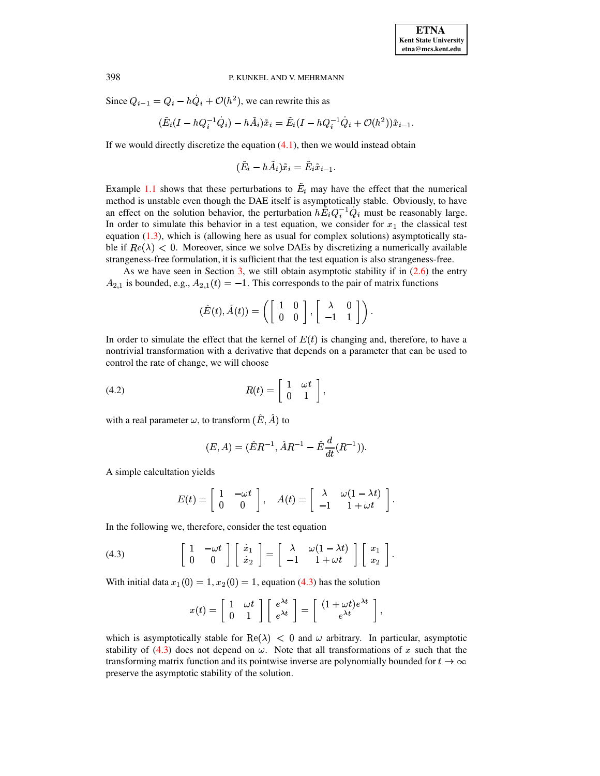Since  $Q_{i-1} = Q_i - hQ_i + \mathcal{O}(h^2)$ \_\_\_\_\_\_  $Q_i + \mathcal{O}(h^2)$ , we can rewrite this as

$$
(\tilde E_i(I-hQ_i^{-1}\dot Q_i)-h\tilde A_i)\tilde x_i=\tilde E_i(I-hQ_i^{-1}\dot Q_i+\mathcal O(h^2))\tilde x_{i-1}.
$$

If we would directly discretize the equation  $(4.1)$ , then we would instead obtain

$$
(\tilde{E}_i-h\tilde{A}_i)\tilde{x}_i=\tilde{E}_i\tilde{x}_{i-1}.
$$

Example [1.1](#page-1-0) shows that these perturbations to  $E_i$  may have the effect that the numerical method is unstable even though the DAE itself is asymptotically stable. Obviously, to have an effect on the solution behavior, the perturbation  $h\tilde{E}_i Q_i^{-1} \dot{Q}_i$  must be  $Q_i$  must be reasonably large. In order to simulate this behavior in a test equation, we consider for  $x_1$  the classical test equation  $(1.3)$ , which is (allowing here as usual for complex solutions) asymptotically stable if  $Re(\lambda) < 0$ . Moreover, since we solve DAEs by discretizing a numerically available strangeness-free formulation, it is sufficient that the test equation is also strangeness-free.

As we have seen in Section [3,](#page-9-0) we still obtain asymptotic stability if in  $(2.6)$  the entry  $A_{2,1}$  is bounded, e.g.,  $A_{2,1}(t) = -1$ . This corresponds to the pair of matrix functions

$$
(\hat{E}(t),\hat{A}(t))=\left(\left[\begin{array}{cc} 1 & 0 \\ 0 & 0 \end{array}\right],\left[\begin{array}{cc} \lambda & 0 \\ -1 & 1 \end{array}\right]\right).
$$

In order to simulate the effect that the kernel of  $E(t)$  is changing and, therefore, to have a nontrivial transformation with a derivative that depends on a parameter that can be used to control the rate of change, we will choose

$$
R(t) = \left[ \begin{array}{cc} 1 & \omega t \\ 0 & 1 \end{array} \right],
$$

with a real parameter  $\omega,$  to transform  $(\hat{E},\hat{A})$  to

<span id="page-13-1"></span>
$$
(E, A) = (\hat{E}R^{-1}, \hat{A}R^{-1} - \hat{E}\frac{d}{dt}(R^{-1})).
$$

A simple calcultation yields

$$
E(t) = \left[ \begin{array}{cc} 1 & -\omega t \\ 0 & 0 \end{array} \right], \quad A(t) = \left[ \begin{array}{cc} \lambda & \omega(1-\lambda t) \\ -1 & 1+\omega t \end{array} \right].
$$

In the following we, therefore, consider the test equation

<span id="page-13-0"></span>(4.3) 
$$
\begin{bmatrix} 1 & -\omega t \\ 0 & 0 \end{bmatrix} \begin{bmatrix} \dot{x}_1 \\ \dot{x}_2 \end{bmatrix} = \begin{bmatrix} \lambda & \omega(1-\lambda t) \\ -1 & 1+\omega t \end{bmatrix} \begin{bmatrix} x_1 \\ x_2 \end{bmatrix}.
$$

With initial data  $x_1(0) = 1, x_2(0) = 1$ , equation [\(4.3\)](#page-13-0) has the solution

$$
x(t) = \begin{bmatrix} 1 & \omega t \\ 0 & 1 \end{bmatrix} \begin{bmatrix} e^{\lambda t} \\ e^{\lambda t} \end{bmatrix} = \begin{bmatrix} (1 + \omega t)e^{\lambda t} \\ e^{\lambda t} \end{bmatrix},
$$

which is asymptotically stable for Re( $\lambda$ ) < 0 and  $\omega$  arbitrary. In particular, asymptotic stability of  $(4.3)$  does not depend on  $\omega$ . Note that all transformations of x such that the transforming matrix function and its pointwise inverse are polynomially bounded for  $t \to \infty$ preserve the asymptotic stability of the solution.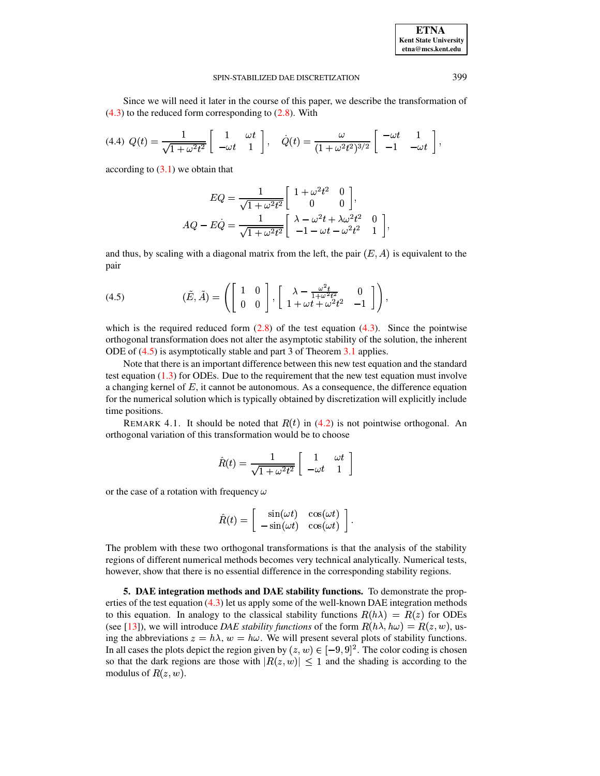**ETNA Kent State University etna@mcs.kent.edu**

### SPIN-STABILIZED DAE DISCRETIZATION 399

Since we will need it later in the course of this paper, we describe the transformation of  $(4.3)$  to the reduced form corresponding to  $(2.8)$ . With

$$
(4.4) Q(t) = \frac{1}{\sqrt{1+\omega^2t^2}} \begin{bmatrix} 1 & \omega t \\ -\omega t & 1 \end{bmatrix}, \quad \dot{Q}(t) = \frac{\omega}{(1+\omega^2t^2)^{3/2}} \begin{bmatrix} -\omega t & 1 \\ -1 & -\omega t \end{bmatrix},
$$

according to  $(3.1)$  we obtain that

$$
EQ = \frac{1}{\sqrt{1 + \omega^2 t^2}} \begin{bmatrix} 1 + \omega^2 t^2 & 0 \\ 0 & 0 \end{bmatrix},
$$
  
 
$$
AQ - E\dot{Q} = \frac{1}{\sqrt{1 + \omega^2 t^2}} \begin{bmatrix} \lambda - \omega^2 t + \lambda \omega^2 t^2 & 0 \\ -1 - \omega t - \omega^2 t^2 & 1 \end{bmatrix},
$$

and thus, by scaling with a diagonal matrix from the left, the pair  $(E, A)$  is equivalent to the pair

<span id="page-14-1"></span>(4.5) 
$$
(\tilde{E}, \tilde{A}) = \left( \begin{bmatrix} 1 & 0 \\ 0 & 0 \end{bmatrix}, \begin{bmatrix} \lambda - \frac{\omega^2 t}{1 + \omega^2 t^2} & 0 \\ 1 + \omega t + \omega^2 t^2 & -1 \end{bmatrix} \right),
$$

which is the required reduced form  $(2.8)$  of the test equation  $(4.3)$ . Since the pointwise orthogonal transformation does not alter the asymptotic stability of the solution, the inherent ODE of [\(4.5\)](#page-14-1) is asymptotically stable and part 3 of Theorem [3.1](#page-10-1) applies.

Note that there is an important difference between this new test equation and the standard test equation  $(1.3)$  for ODEs. Due to the requirement that the new test equation must involve a changing kernel of  $E$ , it cannot be autonomous. As a consequence, the difference equation for the numerical solution which is typically obtained by discretization will explicitly include time positions.

REMARK 4.1. It should be noted that  $R(t)$  in [\(4.2\)](#page-13-1) is not pointwise orthogonal. An orthogonal variation of this transformation would be to choose

$$
\hat{R}(t) = \frac{1}{\sqrt{1 + \omega^2 t^2}} \left[ \begin{array}{cc} 1 & \omega t \\ -\omega t & 1 \end{array} \right]
$$

or the case of a rotation with frequency  $\omega$ 

$$
\hat{R}(t) = \begin{bmatrix} \sin(\omega t) & \cos(\omega t) \\ -\sin(\omega t) & \cos(\omega t) \end{bmatrix}.
$$

The problem with these two orthogonal transformations is that the analysis of the stability regions of different numerical methods becomes very technical analytically. Numerical tests, however, show that there is no essential difference in the corresponding stability regions.

<span id="page-14-0"></span>**5. DAE integration methods and DAE stability functions.** To demonstrate the properties of the test equation [\(4.3\)](#page-13-0) let us apply some of the well-known DAE integration methods to this equation. In analogy to the classical stability functions  $R(h\lambda) = R(z)$  for ODEs (see [\[13\]](#page-34-7)), we will introduce *DAE stability functions* of the form  $R(h\lambda, h\omega) = R(z, w)$ , using the abbreviations  $z = h\lambda$ ,  $w = h\omega$ . We will present several plots of stability functions. In all cases the plots depict the region given by  $(z, w) \in [-9, 9]^2$ . The color coding is chosen so that the dark regions are those with  $|R(z, w)| \leq 1$  and the shading is according to the modulus of  $R(z, w)$ .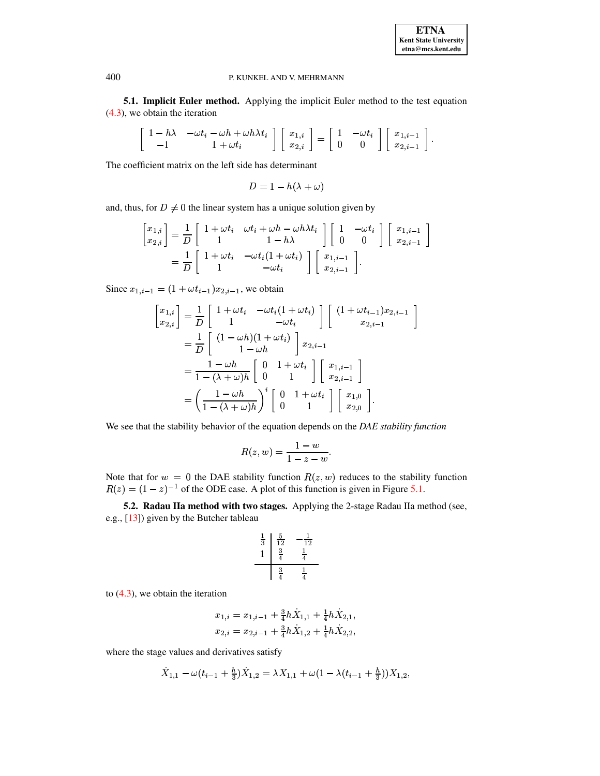**5.1. Implicit Euler method.** Applying the implicit Euler method to the test equation [\(4.3\)](#page-13-0), we obtain the iteration

$$
\left[\begin{array}{cc} 1-h\lambda & -\omega t_i-\omega h+\omega h\lambda t_i \\ -1 & 1+\omega t_i \end{array}\right] \left[\begin{array}{c} x_{1,i} \\ x_{2,i} \end{array}\right] = \left[\begin{array}{cc} 1 & -\omega t_i \\ 0 & 0 \end{array}\right] \left[\begin{array}{c} x_{1,i-1} \\ x_{2,i-1} \end{array}\right].
$$

The coefficient matrix on the left side has determinant

$$
D=1-h(\lambda+\omega)
$$

and, thus, for  $D \neq 0$  the linear system has a unique solution given by

$$
\begin{split} \begin{bmatrix} x_{1,i} \\ x_{2,i} \end{bmatrix} &= \frac{1}{D} \left[ \begin{array}{cc} 1 + \omega t_i & \omega t_i + \omega h - \omega h \lambda t_i \\ 1 & 1 - h \lambda \end{array} \right] \left[ \begin{array}{cc} 1 & - \omega t_i \\ 0 & 0 \end{array} \right] \left[ \begin{array}{c} x_{1,i-1} \\ x_{2,i-1} \end{array} \right] \\ &= \frac{1}{D} \left[ \begin{array}{cc} 1 + \omega t_i & - \omega t_i (1 + \omega t_i) \\ 1 & - \omega t_i \end{array} \right] \left[ \begin{array}{c} x_{1,i-1} \\ x_{2,i-1} \end{array} \right]. \end{split}
$$

Since  $x_{1,i-1} = (1 + \omega t_{i-1}) x_{2,i-1}$ , we obtain

$$
\begin{aligned}\n\begin{bmatrix}\nx_{1,i} \\
x_{2,i}\n\end{bmatrix} &= \frac{1}{D} \begin{bmatrix}\n1 + \omega t_i & -\omega t_i (1 + \omega t_i) \\
1 & -\omega t_i\n\end{bmatrix} \begin{bmatrix}\n(1 + \omega t_{i-1}) x_{2,i-1} \\
x_{2,i-1}\n\end{bmatrix} \\
&= \frac{1}{D} \begin{bmatrix}\n(1 - \omega h)(1 + \omega t_i) \\
1 - \omega h\n\end{bmatrix} x_{2,i-1} \\
&= \frac{1 - \omega h}{1 - (\lambda + \omega)h} \begin{bmatrix}\n0 & 1 + \omega t_i \\
0 & 1\n\end{bmatrix} \begin{bmatrix}\nx_{1,i-1} \\
x_{2,i-1}\n\end{bmatrix} \\
&= \left(\frac{1 - \omega h}{1 - (\lambda + \omega)h}\right)^i \begin{bmatrix}\n0 & 1 + \omega t_i \\
0 & 1\n\end{bmatrix} \begin{bmatrix}\nx_{1,0} \\
x_{2,0}\n\end{bmatrix}.\n\end{aligned}
$$

We see that the stability behavior of the equation depends on the *DAE stability function*

$$
R(z,w)=\frac{1-w}{1-z-w}.
$$

Note that for  $w = 0$  the DAE stability function  $R(z, w)$  reduces to the stability function  $R(z) = (1 - z)^{-1}$  of the ODE case. A plot of this function is given in Figure [5.1.](#page-16-0)

**5.2. Radau IIa method with two stages.** Applying the 2-stage Radau IIa method (see, e.g., [\[13\]](#page-34-7)) given by the Butcher tableau

$$
\begin{array}{c|cc}\n\frac{1}{3} & \frac{5}{12} & -\frac{1}{12} \\
1 & \frac{3}{4} & \frac{1}{4} \\
\hline\n\frac{3}{4} & \frac{1}{4}\n\end{array}
$$

to  $(4.3)$ , we obtain the iteration

$$
\begin{aligned} x_{1,i} &= x_{1,i-1} + \tfrac{3}{4}h\dot{X}_{1,1} + \tfrac{1}{4}h\dot{X}_{2,1}, \\ x_{2,i} &= x_{2,i-1} + \tfrac{3}{4}h\dot{X}_{1,2} + \tfrac{1}{4}h\dot{X}_{2,2}, \end{aligned}
$$

where the stage values and derivatives satisfy

$$
\dot{X}_{1,1} - \omega(t_{i-1} + \frac{h}{3})\dot{X}_{1,2} = \lambda X_{1,1} + \omega(1 - \lambda(t_{i-1} + \frac{h}{3}))X_{1,2},
$$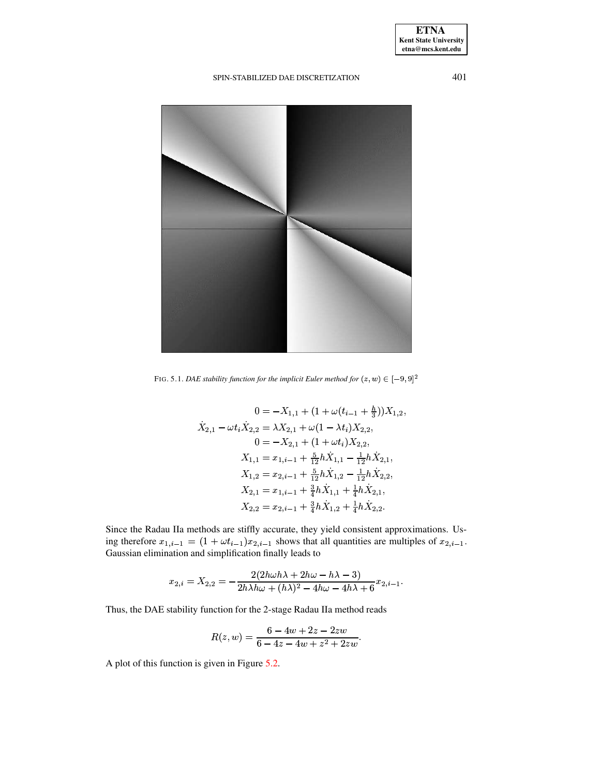

FIG. 5.1. *DAE stability function for the implicit Euler method for*  $(z, w) \in [-9, 9]^2$ 

<span id="page-16-0"></span>
$$
0 = -X_{1,1} + (1 + \omega(t_{i-1} + \frac{h}{3}))X_{1,2},
$$
  
\n
$$
\dot{X}_{2,1} - \omega t_i \dot{X}_{2,2} = \lambda X_{2,1} + \omega(1 - \lambda t_i)X_{2,2},
$$
  
\n
$$
0 = -X_{2,1} + (1 + \omega t_i)X_{2,2},
$$
  
\n
$$
X_{1,1} = x_{1,i-1} + \frac{5}{12}h\dot{X}_{1,1} - \frac{1}{12}h\dot{X}_{2,1},
$$
  
\n
$$
X_{1,2} = x_{2,i-1} + \frac{5}{12}h\dot{X}_{1,2} - \frac{1}{12}h\dot{X}_{2,2},
$$
  
\n
$$
X_{2,1} = x_{1,i-1} + \frac{3}{4}h\dot{X}_{1,1} + \frac{1}{4}h\dot{X}_{2,1},
$$
  
\n
$$
X_{2,2} = x_{2,i-1} + \frac{3}{4}h\dot{X}_{1,2} + \frac{1}{4}h\dot{X}_{2,2}.
$$

Since the Radau IIa methods are stiffly accurate, they yield consistent approximations. Using therefore  $x_{1,i-1} = (1 + \omega t_{i-1})x_{2,i-1}$  shows that all quantities are multiples of  $x_{2,i-1}$ . Gaussian elimination and simplification finally leads to

$$
x_{2,i}=X_{2,2}=-\frac{2(2h\omega h\lambda+2h\omega-h\lambda-3)}{2h\lambda h\omega+(h\lambda)^2-4h\omega-4h\lambda+6}x_{2,i-1}.
$$

Thus, the DAE stability function for the 2-stage Radau IIa method reads

$$
R(z,w)=\frac{6-4w+2z-2zw}{6-4z-4w+z^2+2zw}.
$$

A plot of this function is given in Figure [5.2.](#page-17-0)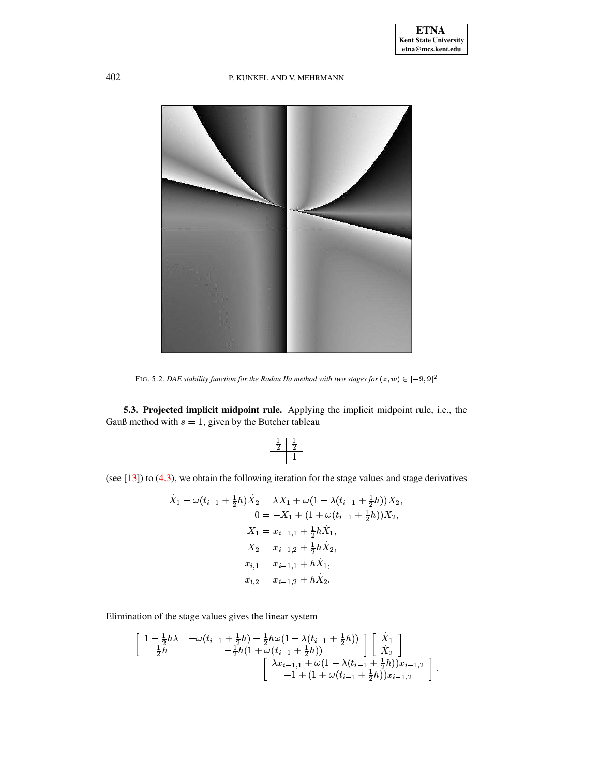

FIG. 5.2. DAE stability function for the Radau IIa method with two stages for  $(z, w) \in [-9, 9]^2$ 

<span id="page-17-0"></span>5.3. Projected implicit midpoint rule. Applying the implicit midpoint rule, i.e., the Gauß method with  $s = 1$ , given by the Butcher tableau

$$
\begin{array}{c|c}\n\frac{1}{2} & \frac{1}{2} \\
\hline\n1\n\end{array}
$$

(see  $[13]$ ) to  $(4.3)$ , we obtain the following iteration for the stage values and stage derivatives

$$
\dot{X}_1 - \omega(t_{i-1} + \frac{1}{2}h)\dot{X}_2 = \lambda X_1 + \omega(1 - \lambda(t_{i-1} + \frac{1}{2}h))X_2,
$$
  
\n
$$
0 = -X_1 + (1 + \omega(t_{i-1} + \frac{1}{2}h))X_2,
$$
  
\n
$$
X_1 = x_{i-1,1} + \frac{1}{2}h\dot{X}_1,
$$
  
\n
$$
X_2 = x_{i-1,2} + \frac{1}{2}h\dot{X}_2,
$$
  
\n
$$
x_{i,1} = x_{i-1,1} + h\dot{X}_1,
$$
  
\n
$$
x_{i,2} = x_{i-1,2} + h\dot{X}_2.
$$

Elimination of the stage values gives the linear system

$$
\begin{bmatrix}\n1 - \frac{1}{2}h\lambda & -\omega(t_{i-1} + \frac{1}{2}h) - \frac{1}{2}h\omega(1 - \lambda(t_{i-1} + \frac{1}{2}h)) \\
-\frac{1}{2}h(1 + \omega(t_{i-1} + \frac{1}{2}h)) & \lambda_2\n\end{bmatrix}\n\begin{bmatrix}\n\dot{X}_1 \\
\dot{X}_2\n\end{bmatrix}\n= \begin{bmatrix}\n\lambda x_{i-1,1} + \omega(1 - \lambda(t_{i-1} + \frac{1}{2}h))x_{i-1,2} \\
-1 + (1 + \omega(t_{i-1} + \frac{1}{2}h))x_{i-1,2}\n\end{bmatrix}
$$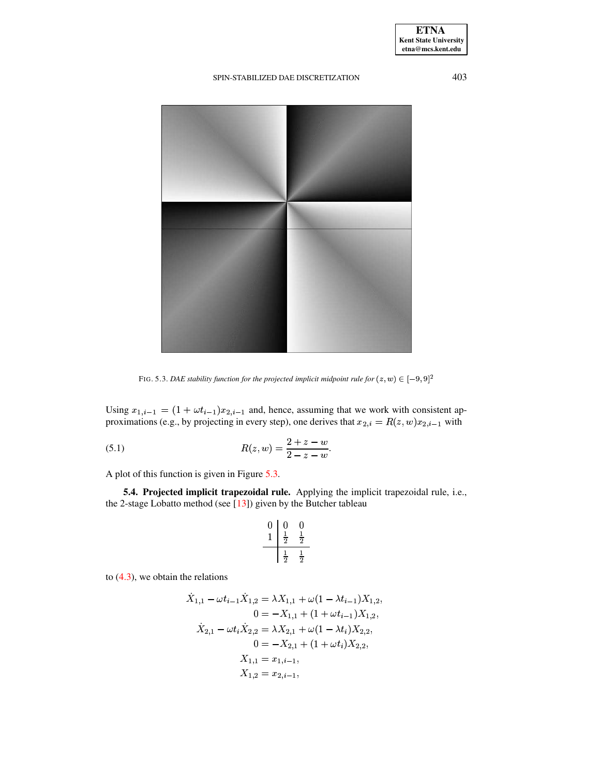

FIG. 5.3. DAE stability function for the projected implicit midpoint rule for  $(z, w) \in [-9, 9]^2$ 

<span id="page-18-0"></span>Using  $x_{1,i-1} = (1 + \omega t_{i-1})x_{2,i-1}$  and, hence, assuming that we work with consistent approximations (e.g., by projecting in every step), one derives that  $x_{2,i} = R(z, w)x_{2,i-1}$  with

(5.1) 
$$
R(z, w) = \frac{2 + z - w}{2 - z - w}
$$

A plot of this function is given in Figure 5.3.

5.4. Projected implicit trapezoidal rule. Applying the implicit trapezoidal rule, i.e., the 2-stage Lobatto method (see  $[13]$ ) given by the Butcher tableau

$$
\begin{array}{c|cc} 0 & 0 & 0 \\ \hline 1 & \frac{1}{2} & \frac{1}{2} \\ \hline & \frac{1}{2} & \frac{1}{2} \end{array}
$$

to  $(4.3)$ , we obtain the relations

$$
\begin{aligned} \dot{X}_{1,1}-\omega t_{i-1}\dot{X}_{1,2}&=\lambda X_{1,1}+\omega(1-\lambda t_{i-1})X_{1,2},\\ 0&=-X_{1,1}+(1+\omega t_{i-1})X_{1,2},\\ \dot{X}_{2,1}-\omega t_i\dot{X}_{2,2}&=\lambda X_{2,1}+\omega(1-\lambda t_i)X_{2,2},\\ 0&=-X_{2,1}+(1+\omega t_i)X_{2,2},\\ X_{1,1}&=x_{1,i-1},\\ X_{1,2}&=x_{2,i-1}, \end{aligned}
$$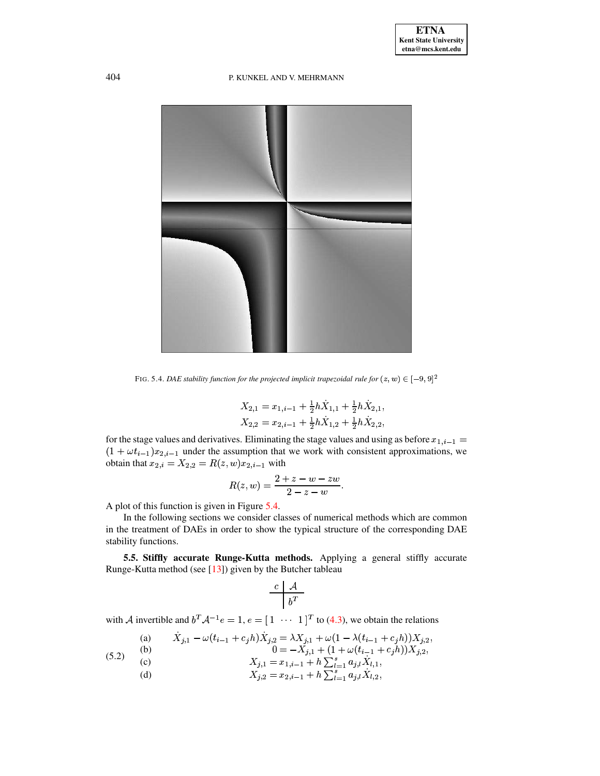

<span id="page-19-0"></span>FIG. 5.4. *DAE stability function for the projected implicit trapezoidal rule for*  $(z, w) \in [-9, 9]^2$ 

$$
X_{2,1} = x_{1,i-1} + \frac{1}{2}h\dot{X}_{1,1} + \frac{1}{2}h\dot{X}_{2,1},
$$
  
\n
$$
X_{2,2} = x_{2,i-1} + \frac{1}{2}h\dot{X}_{1,2} + \frac{1}{2}h\dot{X}_{2,2},
$$

for the stage values and derivatives. Eliminating the stage values and using as before  $x_{1,i-1} =$  $(1 + \omega t_{i-1})x_{2,i-1}$  under the assumption that we work with consistent approximations, we obtain that  $x_{2,i} = X_{2,2} = R(z,w)x_{2,i-1}$  with

$$
R(z,w)=\frac{2+z-w-zw}{2-z-w}.
$$

A plot of this function is given in Figure [5.4.](#page-19-0)

In the following sections we consider classes of numerical methods which are common in the treatment of DAEs in order to show the typical structure of the corresponding DAE stability functions.

<span id="page-19-2"></span>**5.5. Stiffly accurate Runge-Kutta methods.** Applying a general stiffly accurate Runge-Kutta method (see [\[13\]](#page-34-7)) given by the Butcher tableau

$$
\begin{array}{c|c} c & \mathcal{A} \\ \hline & b^T \end{array}
$$

with A invertible and  $b^T A^{-1} e = 1, e = \begin{bmatrix} 1 & \cdots & 1 \end{bmatrix}^T$  to [\(4.3\)](#page-13-0), we obtain the relations

<span id="page-19-1"></span>(a) 
$$
\dot{X}_{j,1} - \omega(t_{i-1} + c_j h)\dot{X}_{j,2} = \lambda X_{j,1} + \omega(1 - \lambda(t_{i-1} + c_j h))X_{j,2},
$$
  
\n(b)  $0 = -X_{j,1} + (1 + \omega(t_{i-1} + c_j h))X_{j,2},$   
\n(c)  $\lambda \sum_{i=1}^{n} \sum_{j=1}^{s} \dot{X}_{j,i} + \omega(t_{i-1} + c_j h)X_{j,2},$ 

- (c)  $X_{j,1} = x_{1,i-1} + h \sum_{l=1}^{s} a_{j,l} X_{l,1},$ 
	- (d)  $X_{j,2} = x_{2,i-1} + h \sum_{l=1}^{s} a_{j,l} \dot{X}_{l,2},$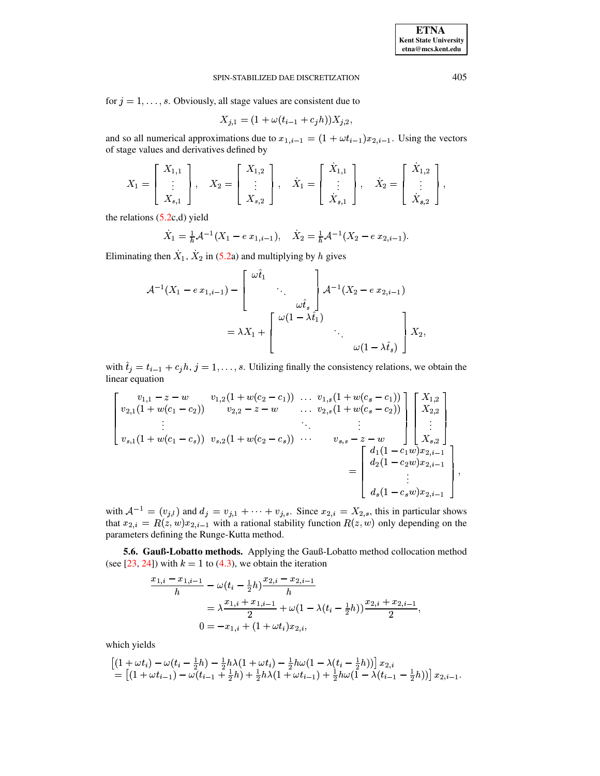for  $j = 1, \ldots, s$ . Obviously, all stage values are consistent due to

$$
X_{j,1} = (1 + \omega(t_{i-1} + c_j h))X_{j,2},
$$

and so all numerical approximations due to  $x_{1,i-1} = (1 + \omega t_{i-1})x_{2,i-1}$ . Using the vectors of stage values and derivatives defined by

$$
X_1 = \begin{bmatrix} X_{1,1} \\ \vdots \\ X_{s,1} \end{bmatrix}, \quad X_2 = \begin{bmatrix} X_{1,2} \\ \vdots \\ X_{s,2} \end{bmatrix}, \quad \dot{X}_1 = \begin{bmatrix} \dot{X}_{1,1} \\ \vdots \\ \dot{X}_{s,1} \end{bmatrix}, \quad \dot{X}_2 = \begin{bmatrix} \dot{X}_{1,2} \\ \vdots \\ \dot{X}_{s,2} \end{bmatrix},
$$

the relations  $(5.2c,d)$  yield

$$
\dot{X}_1 = \frac{1}{h} \mathcal{A}^{-1}(X_1 - e x_{1,i-1}), \quad \dot{X}_2 = \frac{1}{h} \mathcal{A}^{-1}(X_2 - e x_{2,i-1}).
$$

Eliminating then  $X_1$ ,  $X_2$  in (5.2a) and multiplying by h gives

$$
\begin{aligned} \mathcal{A}^{-1}(X_1 - e\,x_{1,i-1}) &= \left[\begin{array}{c} \omega \hat{t}_1 \\ \vdots \\ \omega \hat{t}_s \end{array}\right] \mathcal{A}^{-1}(X_2 - e\,x_{2,i-1}) \\ &= \lambda X_1 + \left[\begin{array}{c} \omega(1-\lambda \hat{t}_1) \\ \vdots \\ \omega(1-\lambda \hat{t}_s) \end{array}\right] X_2, \end{aligned}
$$

with  $\hat{t}_j = t_{i-1} + c_j h$ ,  $j = 1, ..., s$ . Utilizing finally the consistency relations, we obtain the linear equation

$$
\begin{bmatrix}\nv_{1,1} - z - w & v_{1,2}(1 + w(c_2 - c_1)) & \dots & v_{1,s}(1 + w(c_s - c_1)) \\
v_{2,1}(1 + w(c_1 - c_2)) & v_{2,2} - z - w & \dots & v_{2,s}(1 + w(c_s - c_2)) \\
\vdots & \vdots & \ddots & \vdots \\
v_{s,1}(1 + w(c_1 - c_s)) & v_{s,2}(1 + w(c_2 - c_s)) & \dots & v_{s,s} - z - w \\
= \begin{bmatrix}\nd_1(1 - c_1w)x_{2,i-1} \\
d_2(1 - c_2w)x_{2,i-1} \\
\vdots \\
d_s(1 - c_sw)x_{2,i-1}\n\end{bmatrix}\n\end{bmatrix}
$$

with  $A^{-1} = (v_{j,l})$  and  $d_j = v_{j,1} + \cdots + v_{j,s}$ . Since  $x_{2,i} = X_{2,s}$ , this in particular shows that  $x_{2,i} = R(z, w)x_{2,i-1}$  with a rational stability function  $R(z, w)$  only depending on the parameters defining the Runge-Kutta method.

5.6. Gauß-Lobatto methods. Applying the Gauß-Lobatto method collocation method (see [23, 24]) with  $k = 1$  to (4.3), we obtain the iteration

$$
\frac{x_{1,i} - x_{1,i-1}}{h} - \omega(t_i - \frac{1}{2}h) \frac{x_{2,i} - x_{2,i-1}}{h}
$$
  
=  $\lambda \frac{x_{1,i} + x_{1,i-1}}{2} + \omega(1 - \lambda(t_i - \frac{1}{2}h)) \frac{x_{2,i} + x_{2,i-1}}{2}$ ,  

$$
0 = -x_{1,i} + (1 + \omega t_i)x_{2,i},
$$

which yields

$$
\begin{array}{l} \left[(1+\omega t_i)-\omega(t_i-\frac{1}{2}h)-\frac{1}{2}h\lambda(1+\omega t_i)-\frac{1}{2}h\omega(1-\lambda(t_i-\frac{1}{2}h))\right]x_{2,i}\\ = \left[(1+\omega t_{i-1})-\omega(t_{i-1}+\frac{1}{2}h)+\frac{1}{2}h\lambda(1+\omega t_{i-1})+\frac{1}{2}h\omega(1-\lambda(t_{i-1}-\frac{1}{2}h))\right]x_{2,i-1}. \end{array}
$$

405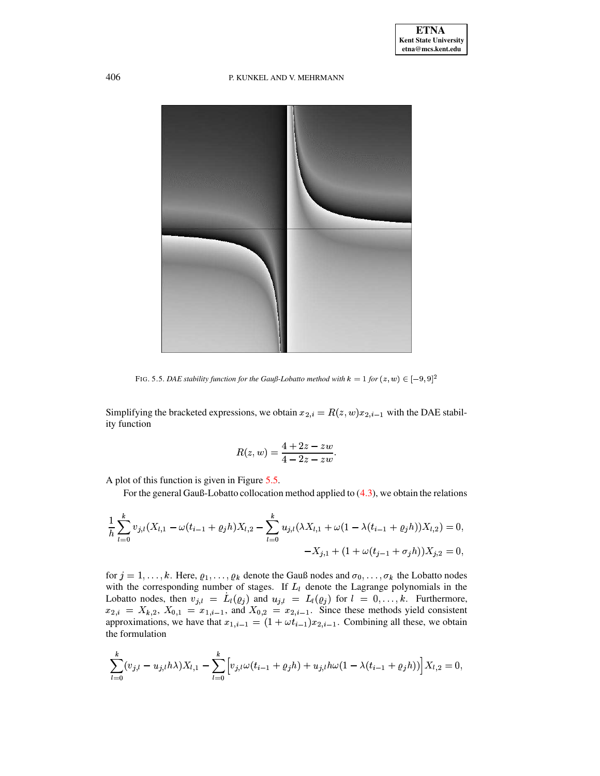

FIG. 5.5. *DAE stability function for the Gauß-Lobatto method with*  $k = 1$  *for*  $(z, w) \in [-9, 9]^2$ 

<span id="page-21-0"></span>Simplifying the bracketed expressions, we obtain  $x_{2,i} = R(z, w)x_{2,i-1}$  with the DAE stability function

$$
R(z,w)=\frac{4+2z-zw}{4-2z-zw}.
$$

A plot of this function is given in Figure [5.5.](#page-21-0)

For the general Gauß-Lobatto collocation method applied to [\(4.3\)](#page-13-0), we obtain the relations

$$
\frac{1}{h} \sum_{l=0}^{k} v_{j,l} (X_{l,1} - \omega(t_{i-1} + \varrho_j h) X_{l,2} - \sum_{l=0}^{k} u_{j,l} (\lambda X_{l,1} + \omega(1 - \lambda(t_{i-1} + \varrho_j h)) X_{l,2}) = 0,
$$
  

$$
-X_{j,1} + (1 + \omega(t_{j-1} + \sigma_j h)) X_{j,2} = 0,
$$

for  $j = 1, \ldots, k$ . Here,  $\varrho_1, \ldots, \varrho_k$  denote the Gauß nodes and  $\sigma_0, \ldots, \sigma_k$  the Lobatto nodes with the corresponding number of stages. If  $L_l$  denote the Lagrange polynomials in the Lobatto nodes, then  $v_{j,l} = L_l(\varrho_j)$  and  $u_{j,l} = L_l(\varrho_j)$  for  $l = 0, ..., k$ . Furthermore,  $x_{2,i} = X_{k,2}, X_{0,1} = x_{1,i-1}$ , and  $X_{0,2} = x_{2,i-1}$ . Since these methods yield consistent approximations, we have that  $x_{1,i-1} = (1 + \omega t_{i-1})x_{2,i-1}$ . Combining all these, we obtain the formulation

$$
\sum_{l=0}^k (v_{j,l} - u_{j,l} h\lambda) X_{l,1} - \sum_{l=0}^k \Big[ v_{j,l} \omega(t_{i-1} + \varrho_j h) + u_{j,l} h\omega (1 - \lambda (t_{i-1} + \varrho_j h)) \Big] X_{l,2} = 0,
$$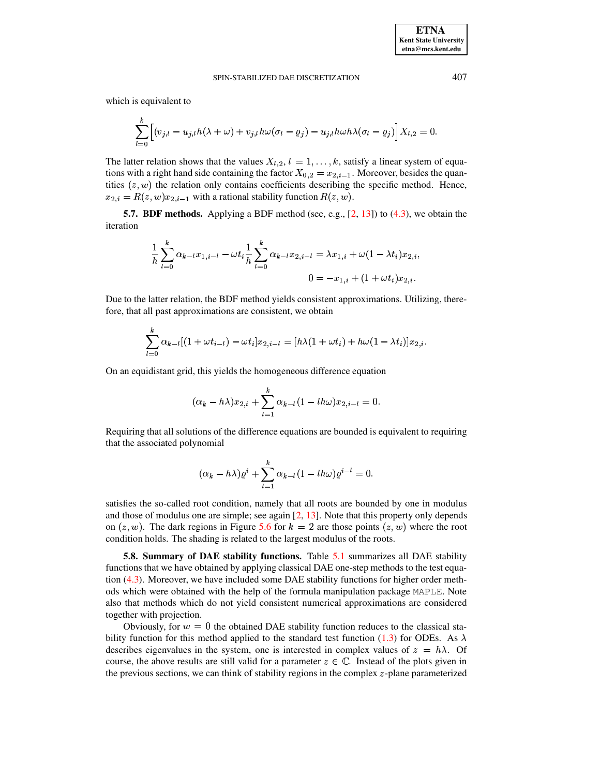which is equivalent to

$$
\sum_{l=0}^k \Bigl[(v_{j,l} - u_{j,l} h(\lambda + \omega) + v_{j,l} h \omega (\sigma_l - \varrho_j) - u_{j,l} h \omega h \lambda (\sigma_l - \varrho_j) \Bigr] X_{l,2} = 0.
$$

The latter relation shows that the values  $X_{l,2}$ ,  $l = 1, \ldots, k$ , satisfy a linear system of equations with a right hand side containing the factor  $X_{0,2} = x_{2,i-1}$ . Moreover, besides the quantities  $(z, w)$  the relation only contains coefficients describing the specific method. Hence,  $x_{2,i} = R(z, w)x_{2,i-1}$  with a rational stability function  $R(z, w)$ .

**5.7. BDF** methods. Applying a BDF method (see, e.g., [\[2,](#page-34-5) [13\]](#page-34-7)) to [\(4.3\)](#page-13-0), we obtain the iteration

$$
\frac{1}{h}\sum_{l=0}^k \alpha_{k-l}x_{1,i-l} - \omega t_i \frac{1}{h}\sum_{l=0}^k \alpha_{k-l}x_{2,i-l} = \lambda x_{1,i} + \omega(1-\lambda t_i)x_{2,i},\\ 0 = -x_{1,i} + (1+\omega t_i)x_{2,i}.
$$

Due to the latter relation, the BDF method yields consistent approximations. Utilizing, therefore, that all past approximations are consistent, we obtain

$$
\sum_{l=0}^{k} \alpha_{k-l} [(1 + \omega t_{i-l}) - \omega t_i] x_{2,i-l} = [h\lambda(1 + \omega t_i) + h\omega(1 - \lambda t_i)] x_{2,i}.
$$

On an equidistant grid, this yields the homogeneous difference equation

$$
(\alpha_k-h\lambda)x_{2,i}+\sum_{l=1}^k\alpha_{k-l}(1-lh\omega)x_{2,i-l}=0.
$$

Requiring that all solutions of the difference equations are bounded is equivalent to requiring that the associated polynomial

$$
(\alpha_k-h\lambda)\varrho^i+\sum_{l=1}^k\alpha_{k-l}(1-lh\omega)\varrho^{i-l}=0.
$$

satisfies the so-called root condition, namely that all roots are bounded by one in modulus and those of modulus one are simple; see again [\[2,](#page-34-5) [13\]](#page-34-7). Note that this property only depends on  $(z, w)$ . The dark regions in Figure [5.6](#page-23-1) for  $k = 2$  are those points  $(z, w)$  where the root condition holds. The shading is related to the largest modulus of the roots.

**5.8. Summary of DAE stability functions.** Table [5.1](#page-24-0) summarizes all DAE stability functions that we have obtained by applying classical DAE one-step methods to the test equation [\(4.3\)](#page-13-0). Moreover, we have included some DAE stability functions for higher order methods which were obtained with the help of the formula manipulation package MAPLE. Note also that methods which do not yield consistent numerical approximations are considered together with projection.

Obviously, for  $w = 0$  the obtained DAE stability function reduces to the classical sta-bility function for this method applied to the standard test function [\(1.3\)](#page-1-1) for ODEs. As  $\lambda$ describes eigenvalues in the system, one is interested in complex values of  $z = h\lambda$ . Of course, the above results are still valid for a parameter  $z \in \mathbb{C}$ . Instead of the plots given in the previous sections, we can think of stability regions in the complex  $z$ -plane parameterized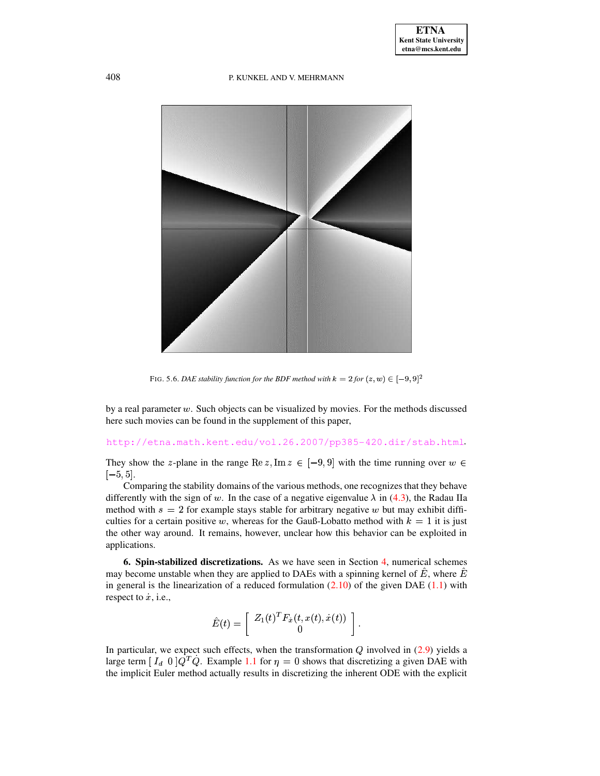

FIG. 5.6. *DAE stability function for the BDF method with*  $k = 2$  *for*  $(z, w) \in [-9, 9]^2$ 

<span id="page-23-1"></span>by a real parameter  $w$ . Such objects can be visualized by movies. For the methods discussed here such movies can be found in the supplement of this paper,

# <http://etna.math.kent.edu/vol.26.2007/pp385-420.dir/stab.html>\

They show the z-plane in the range Re  $z, \text{Im } z \in [-9, 9]$  with the time running over  $w \in$  $[-5, 5].$ 

Comparing the stability domains of the various methods, one recognizesthat they behave differently with the sign of w. In the case of a negative eigenvalue  $\lambda$  in [\(4.3\)](#page-13-0), the Radau IIa method with  $s = 2$  for example stays stable for arbitrary negative w but may exhibit difficulties for a certain positive w, whereas for the Gauß-Lobatto method with  $k = 1$  it is just the other way around. It remains, however, unclear how this behavior can be exploited in applications.

<span id="page-23-0"></span>**6. Spin-stabilized discretizations.** As we have seen in Section [4,](#page-12-0) numerical schemes may become unstable when they are applied to DAEs with a spinning kernel of  $E$ , where  $E$ in general is the linearization of a reduced formulation  $(2.10)$  of the given DAE  $(1.1)$  with respect to  $\dot{x}$ , i.e.,

$$
\hat{E}(t) = \left[ \begin{array}{c} Z_1(t)^T F_{\dot{x}}(t,x(t),\dot{x}(t)) \\ 0 \end{array} \right].
$$

In particular, we expect such effects, when the transformation  $Q$  involved in  $(2.9)$  yields a large term  $[I_d \ 0]Q^T\dot{Q}$ . Example [1.1](#page-1-0) for  $\eta = 0$  shows that discretizing a given DAE with the implicit Euler method actually results in discretizing the inherent ODE with the explicit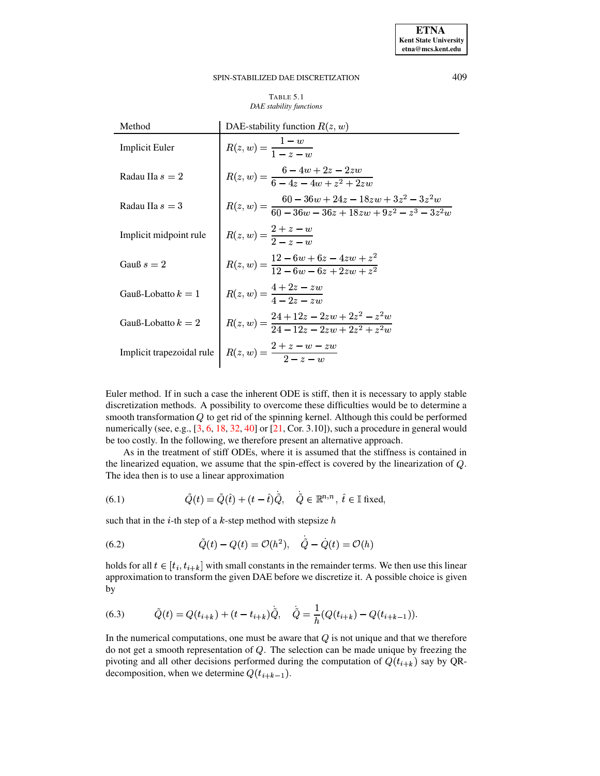**ETNA Kent State University**  $etna@mcs. kent.edu$ 

#### <span id="page-24-0"></span>SPIN-STABILIZED DAE DISCRETIZATION

### TABLE 5.1 DAE stability functions

| Method                    | DAE-stability function $R(z, w)$                                                                    |  |  |  |
|---------------------------|-----------------------------------------------------------------------------------------------------|--|--|--|
| <b>Implicit Euler</b>     | $R(z, w) = \frac{1 - w}{1 - z - w}$                                                                 |  |  |  |
| Radau IIa $s = 2$         | $R(z, w) = \frac{6 - 4w + 2z - 2zw}{6 - 4z - 4w + z^2 + 2zw}$                                       |  |  |  |
| Radau IIa $s = 3$         | $R(z, w) = \frac{60 - 36w + 24z - 18zw + 3z^2 - 3z^2w}{60 - 36w - 36z + 18zw + 9z^2 - z^3 - 3z^2w}$ |  |  |  |
| Implicit midpoint rule    | $R(z, w) = \frac{z + z - w}{2 - z - w}$                                                             |  |  |  |
| Gauß $s=2$                | $R(z, w) = \frac{12 - 6w + 6z - 4zw + z^2}{12 - 6w - 6z + 2zw + z^2}$                               |  |  |  |
| Gauß-Lobatto $k=1$        | $R(z, w) = \frac{4 + 2z - zw}{4 - 2z - zw}$                                                         |  |  |  |
| Gauß-Lobatto $k = 2$      | $R(z, w) = \frac{24 + 12z - 2zw + 2z^2 - z^2w}{24 - 12z - 2zw + 2z^2 + z^2w}$                       |  |  |  |
| Implicit trapezoidal rule | $R(z, w) = \frac{2 + z - w - zw}{2 - z - w}$                                                        |  |  |  |

Euler method. If in such a case the inherent ODE is stiff, then it is necessary to apply stable discretization methods. A possibility to overcome these difficulties would be to determine a smooth transformation  $Q$  to get rid of the spinning kernel. Although this could be performed numerically (see, e.g.,  $[3, 6, 18, 32, 40]$  or  $[21, \text{Cor. } 3.10]$ ), such a procedure in general would be too costly. In the following, we therefore present an alternative approach.

As in the treatment of stiff ODEs, where it is assumed that the stiffness is contained in the linearized equation, we assume that the spin-effect is covered by the linearization of  $Q$ . The idea then is to use a linear approximation

 $\ddot{\phantom{a}}$ 

<span id="page-24-1"></span>(6.1) 
$$
\tilde{Q}(t) = \tilde{Q}(\hat{t}) + (t - \hat{t})\dot{\tilde{Q}}, \quad \dot{\tilde{Q}} \in \mathbb{R}^{n,n}, \ \hat{t} \in \mathbb{I} \text{ fixed},
$$

such that in the *i*-th step of a *k*-step method with stepsize *h* 

<span id="page-24-2"></span>(6.2) 
$$
\tilde{Q}(t) - Q(t) = \mathcal{O}(h^2), \quad \dot{\tilde{Q}} - \dot{Q}(t) = \mathcal{O}(h)
$$

holds for all  $t \in [t_i, t_{i+k}]$  with small constants in the remainder terms. We then use this linear approximation to transform the given DAE before we discretize it. A possible choice is given by

<span id="page-24-3"></span>(6.3) 
$$
\tilde{Q}(t) = Q(t_{i+k}) + (t - t_{i+k})\tilde{Q}, \quad \tilde{Q} = \frac{1}{h}(Q(t_{i+k}) - Q(t_{i+k-1})).
$$

In the numerical computations, one must be aware that  $Q$  is not unique and that we therefore do not get a smooth representation of  $Q$ . The selection can be made unique by freezing the pivoting and all other decisions performed during the computation of  $Q(t_{i+k})$  say by QRdecomposition, when we determine  $Q(t_{i+k-1})$ .

409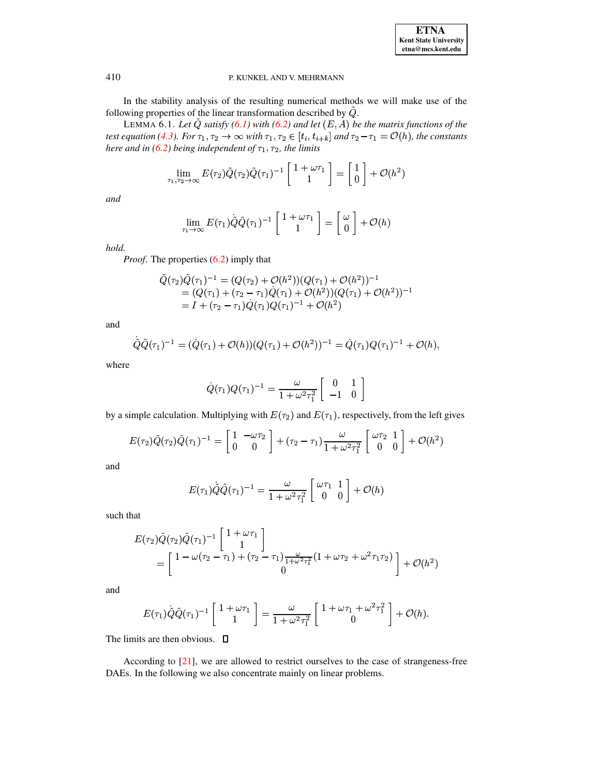

In the stability analysis of the resulting numerical methods we will make use of the following properties of the linear transformation described by  $\tilde{Q}$ .

<span id="page-25-0"></span>LEMMA 6.1. Let  $\tilde{Q}$  satisfy (6.1) with (6.2) and let  $(E, A)$  be the matrix functions of the test equation (4.3). For  $\tau_1, \tau_2 \to \infty$  with  $\tau_1, \tau_2 \in [t_i, t_{i+k}]$  and  $\tau_2 - \tau_1 = \mathcal{O}(h)$ , the constants here and in (6.2) being independent of  $\tau_1$ ,  $\tau_2$ , the limits

$$
\lim_{\tau_1,\tau_2\to\infty} E(\tau_2)\tilde{Q}(\tau_2)\tilde{Q}(\tau_1)^{-1}\begin{bmatrix}1+\omega\tau_1\\1\end{bmatrix} = \begin{bmatrix}1\\0\end{bmatrix} + \mathcal{O}(h^2)
$$

and

$$
\lim_{\tau_1 \to \infty} E(\tau_1) \tilde{Q} \tilde{Q}(\tau_1)^{-1} \begin{bmatrix} 1 + \omega \tau_1 \\ 1 \end{bmatrix} = \begin{bmatrix} \omega \\ 0 \end{bmatrix} + \mathcal{O}(h)
$$

hold.

*Proof.* The properties  $(6.2)$  imply that

$$
\begin{aligned} \tilde{Q}(\tau_2)\tilde{Q}(\tau_1)^{-1} &= (Q(\tau_2) + \mathcal{O}(h^2))(Q(\tau_1) + \mathcal{O}(h^2))^{-1} \\ &= (Q(\tau_1) + (\tau_2 - \tau_1)\tilde{Q}(\tau_1) + \mathcal{O}(h^2))(Q(\tau_1) + \mathcal{O}(h^2))^{-1} \\ &= I + (\tau_2 - \tau_1)\tilde{Q}(\tau_1)Q(\tau_1)^{-1} + \mathcal{O}(h^2) \end{aligned}
$$

and

$$
\tilde{Q}\tilde{Q}(\tau_1)^{-1} = (\dot{Q}(\tau_1) + \mathcal{O}(h))(Q(\tau_1) + \mathcal{O}(h^2))^{-1} = \dot{Q}(\tau_1)Q(\tau_1)^{-1} + \mathcal{O}(h),
$$

where

$$
\dot{Q}(\tau_1)Q(\tau_1)^{-1} = \frac{\omega}{1 + \omega^2 \tau_1^2} \left[ \begin{array}{cc} 0 & 1 \\ -1 & 0 \end{array} \right]
$$

by a simple calculation. Multiplying with  $E(\tau_2)$  and  $E(\tau_1)$ , respectively, from the left gives

$$
E(\tau_2)\tilde{Q}(\tau_2)\tilde{Q}(\tau_1)^{-1} = \begin{bmatrix} 1 & -\omega\tau_2 \\ 0 & 0 \end{bmatrix} + (\tau_2 - \tau_1)\frac{\omega}{1 + \omega^2\tau_1^2} \begin{bmatrix} \omega\tau_2 & 1 \\ 0 & 0 \end{bmatrix} + \mathcal{O}(h^2)
$$

and

$$
E(\tau_1)\tilde{Q}\tilde{Q}(\tau_1)^{-1} = \frac{\omega}{1 + \omega^2 \tau_1^2} \begin{bmatrix} \omega \tau_1 & 1\\ 0 & 0 \end{bmatrix} + \mathcal{O}(h)
$$

such that

$$
E(\tau_2) \tilde{Q}(\tau_2) \tilde{Q}(\tau_1)^{-1} \begin{bmatrix} 1 + \omega \tau_1 \\ 1 \end{bmatrix} = \begin{bmatrix} 1 - \omega(\tau_2 - \tau_1) + (\tau_2 - \tau_1) \frac{\omega}{1 + \omega^2 \tau_1^2} (1 + \omega \tau_2 + \omega^2 \tau_1 \tau_2) \\ 0 \end{bmatrix} + \mathcal{O}(h^2)
$$

and

$$
E(\tau_1)\tilde{Q}\tilde{Q}(\tau_1)^{-1}\begin{bmatrix}1+\omega\tau_1\\1\end{bmatrix}=\frac{\omega}{1+\omega^2\tau_1^2}\begin{bmatrix}1+\omega\tau_1+\omega^2\tau_1^2\\0\end{bmatrix}+O(h).
$$

The limits are then obvious.  $\Box$ 

According to [21], we are allowed to restrict ourselves to the case of strangeness-free DAEs. In the following we also concentrate mainly on linear problems.

410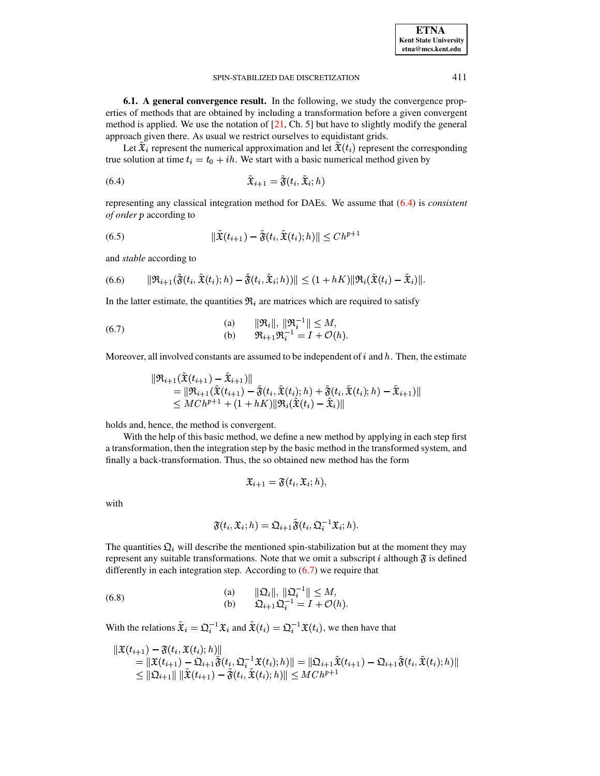**6.1. A general convergence result.** In the following, we study the convergence properties of methods that are obtained by including a transformation before a given convergent method is applied. We use the notation of  $[21, Ch. 5]$  $[21, Ch. 5]$  but have to slightly modify the general approach given there. As usual we restrict ourselves to equidistant grids.

Let  $\tilde{\mathfrak X}_i$  represent the numerical approximation and let  $\tilde{\mathfrak X}(t_i)$  represent the corresponding true solution at time  $t_i = t_0 + ih$ . We start with a basic numerical method given by

<span id="page-26-0"></span>
$$
\tilde{\mathfrak{X}}_{i+1} = \tilde{\mathfrak{F}}(t_i, \tilde{\mathfrak{X}}_i; h)
$$

representing any classical integration method for DAEs. We assume that [\(6.4\)](#page-26-0) is *consistent of order* according to

(6.5) 
$$
\|\tilde{\mathbf{x}}(t_{i+1}) - \tilde{\mathbf{y}}(t_i, \tilde{\mathbf{x}}(t_i); h)\| \leq Ch^{p+1}
$$

and *stable* according to

<span id="page-26-3"></span>(6.6) 
$$
\|\mathfrak{R}_{i+1}(\tilde{\mathfrak{F}}(t_i,\tilde{\mathfrak{X}}(t_i);h)-\tilde{\mathfrak{F}}(t_i,\tilde{\mathfrak{X}}_i;h))\|\leq (1+hK)\|\mathfrak{R}_i(\tilde{\mathfrak{X}}(t_i)-\tilde{\mathfrak{X}}_i)\|.
$$

In the latter estimate, the quantities  $\mathfrak{R}_i$  are matrices which are required to satisfy

<span id="page-26-1"></span>(6.7)   
\n(a) 
$$
\|\mathfrak{R}_i\|, \|\mathfrak{R}_i^{-1}\| \le M,
$$
  
\n(b)  $\mathfrak{R}_{i+1}\mathfrak{R}_i^{-1} = I + \mathcal{O}(h).$ 

Moreover, all involved constants are assumed to be independent of  $i$  and  $h$ . Then, the estimate

$$
\begin{array}{llll} &\|\mathfrak{R}_{i+1}(\tilde{\mathfrak{X}}(t_{i+1})-\tilde{\mathfrak{X}}_{i+1})\|\\&=&\|\mathfrak{R}_{i+1}(\tilde{\mathfrak{X}}(t_{i+1})-\tilde{\mathfrak{F}}(t_i,\tilde{\mathfrak{X}}(t_i);h)+\tilde{\mathfrak{F}}(t_i,\tilde{\mathfrak{X}}(t_i);h)-\tilde{\mathfrak{X}}_{i+1})\|\\&\leq MCh^{p+1}+(1+hK)\|\mathfrak{R}_i(\tilde{\mathfrak{X}}(t_i)-\tilde{\mathfrak{X}}_i)\| \end{array}
$$

holds and, hence, the method is convergent.

With the help of this basic method, we define a new method by applying in each step first a transformation, then the integration step by the basic method in the transformed system, and finally a back-transformation. Thus, the so obtained new method has the form

$$
\mathfrak{X}_{i+1} = \mathfrak{F}(t_i, \mathfrak{X}_i; h),
$$

with

$$
\mathfrak{F}(t_i,\mathfrak{X}_i;h)=\mathfrak{Q}_{i+1}\tilde{\mathfrak{F}}(t_i,\mathfrak{Q}_i^{-1}\mathfrak{X}_i;h).
$$

The quantities  $\mathfrak{Q}_i$  will describe the mentioned spin-stabilization but at the moment they may represent any suitable transformations. Note that we omit a subscript i although  $\mathfrak F$  is defined differently in each integration step. According to  $(6.7)$  we require that

<span id="page-26-2"></span>(6.8)   
\n(a) 
$$
\|\mathfrak{Q}_i\|, \|\mathfrak{Q}_i^{-1}\| \le M,
$$
  
\n(b)  $\mathfrak{Q}_{i+1}\mathfrak{Q}_i^{-1} = I + \mathcal{O}(h).$ 

With the relations  $\tilde{\mathfrak{X}}_i = \mathfrak{Q}_i^{-1} \mathfrak{X}_i$  and  $\tilde{\mathfrak{X}}(t_i) = \mathfrak{Q}_i^{-1} \mathfrak{X}(t_i)$ , we then have that

$$
\begin{aligned} \|\mathfrak{X}(t_{i+1})-\mathfrak{F}(t_{i},\mathfrak{X}(t_{i});h)\|&=\|\mathfrak{X}(t_{i+1})-\mathfrak{Q}_{i+1}\widetilde{\mathfrak{F}}(t_{i},\mathfrak{Q}_{i}^{-1}\mathfrak{X}(t_{i});h)\| &=\|\mathfrak{Q}_{i+1}\widetilde{\mathfrak{X}}(t_{i+1})-\mathfrak{Q}_{i+1}\widetilde{\mathfrak{F}}(t_{i},\widetilde{\mathfrak{X}}(t_{i});h)\|\\ &\leq \|\mathfrak{Q}_{i+1}\|\ \|\widetilde{\mathfrak{X}}(t_{i+1})-\widetilde{\mathfrak{F}}(t_{i},\widetilde{\mathfrak{X}}(t_{i});h)\|\leq MCh^{p+1}\end{aligned}
$$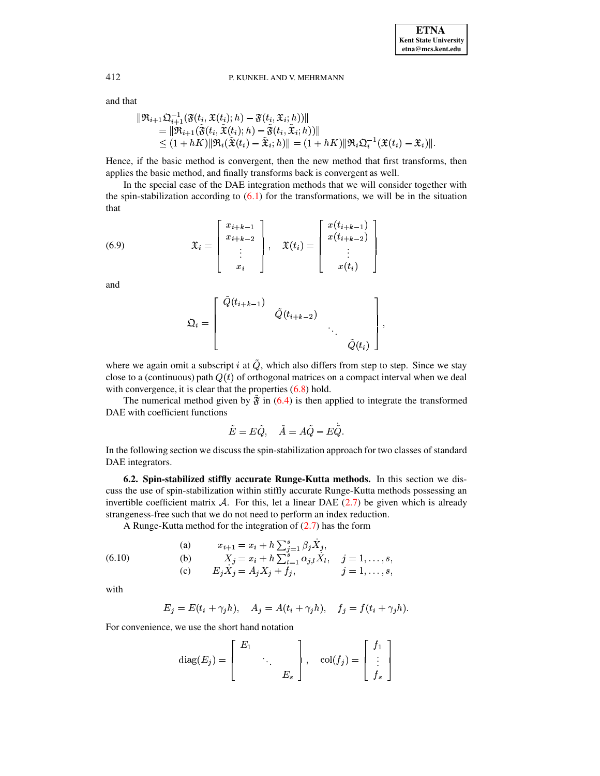and that

$$
\begin{aligned} \|\mathfrak{R}_{i+1} \mathfrak{Q}_{i+1}^{-1} (\mathfrak{F}(t_i, \mathfrak{X}(t_i); h) - \mathfrak{F}(t_i, \mathfrak{X}_i; h))\| \\ &\quad = \|\mathfrak{R}_{i+1} (\tilde{\mathfrak{F}}(t_i, \tilde{\mathfrak{X}}(t_i); h) - \tilde{\mathfrak{F}}(t_i, \tilde{\mathfrak{X}}_i; h))\| \\ &\quad \leq (1 + hK)\|\mathfrak{R}_i (\tilde{\mathfrak{X}}(t_i) - \tilde{\mathfrak{X}}_i; h)\| = (1 + hK)\|\mathfrak{R}_i \mathfrak{Q}_i^{-1} (\mathfrak{X}(t_i) - \mathfrak{X}_i)\|. \end{aligned}
$$

Hence, if the basic method is convergent, then the new method that first transforms, then applies the basic method, and finally transforms back is convergent as well.

In the special case of the DAE integration methods that we will consider together with the spin-stabilization according to  $(6.1)$  for the transformations, we will be in the situation that

<span id="page-27-1"></span>(6.9) 
$$
\mathfrak{X}_{i} = \begin{bmatrix} x_{i+k-1} \\ x_{i+k-2} \\ \vdots \\ x_{i} \end{bmatrix}, \quad \mathfrak{X}(t_{i}) = \begin{bmatrix} x(t_{i+k-1}) \\ x(t_{i+k-2}) \\ \vdots \\ x(t_{i}) \end{bmatrix}
$$

and

$$
\mathfrak{Q}_i=\left[\begin{array}{cccc}\tilde{Q}(t_{i+k-1})&&&\\&\tilde{Q}(t_{i+k-2})&&\\&&\ddots&\\&&&\tilde{Q}(t_i)\end{array}\right],
$$

where we again omit a subscript i at  $\tilde{Q}$ , which also differs from step to step. Since we stay close to a (continuous) path  $Q(t)$  of orthogonal matrices on a compact interval when we deal with convergence, it is clear that the properties  $(6.8)$  hold.

The numerical method given by  $\tilde{\mathfrak{F}}$  in [\(6.4\)](#page-26-0) is then applied to integrate the transformed DAE with coefficient functions

$$
\tilde E=E\tilde Q,\quad \tilde A=A\tilde Q-E\tilde Q.
$$

In the following section we discuss the spin-stabilization approach for two classes of standard DAE integrators.

**6.2. Spin-stabilized stiffly accurate Runge-Kutta methods.** In this section we discuss the use of spin-stabilization within stiffly accurate Runge-Kutta methods possessing an invertible coefficient matrix  $A$ . For this, let a linear DAE [\(2.7\)](#page-5-1) be given which is already strangeness-free such that we do not need to perform an index reduction.

A Runge-Kutta method for the integration of [\(2.7\)](#page-5-1) has the form

<span id="page-27-0"></span>(6.10) (a) 
$$
x_{i+1} = x_i + h \sum_{j=1}^s \beta_j \dot{X}_j,
$$
  
\n(b) 
$$
X_j = x_i + h \sum_{l=1}^s \alpha_{j,l} \dot{X}_l, \quad j = 1, ..., s,
$$
  
\n(c) 
$$
E_j \dot{X}_j = A_j X_j + f_j, \qquad j = 1, ..., s,
$$

with

$$
E_j = E(t_i + \gamma_j h), \quad A_j = A(t_i + \gamma_j h), \quad f_j = f(t_i + \gamma_j h).
$$

For convenience, we use the short hand notation

$$
\operatorname{diag}(E_j) = \begin{bmatrix} E_1 & & \\ & \ddots & \\ & & E_s \end{bmatrix}, \quad \operatorname{col}(f_j) = \begin{bmatrix} f_1 \\ \vdots \\ f_s \end{bmatrix}
$$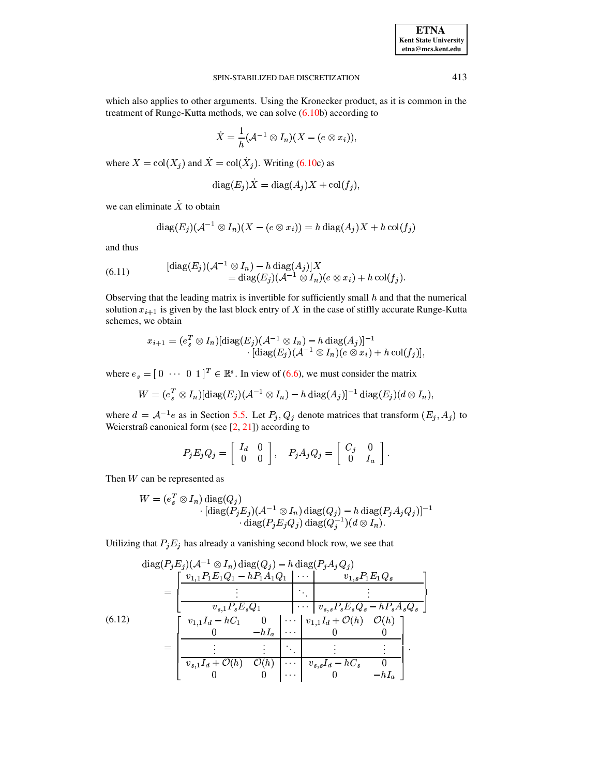| <b>ETNA</b>                  |
|------------------------------|
| <b>Kent State University</b> |
| etna@mcs.kent.edu            |

which also applies to other arguments. Using the Kronecker product, as it is common in the treatment of Runge-Kutta methods, we can solve [\(6.10b](#page-27-0)) according to

$$
\dot{X}=\frac{1}{h}(\mathcal{A}^{-1}\otimes I_n)(X-(e\otimes x_i)),
$$

where  $X = col(X_i)$  and  $\dot{X} =$  $\dot{X} = \text{col}(\dot{X}_i)$ . Writin  $X_i$ ). Writing [\(6.10c](#page-27-0)) as

$$
\mathrm{diag}(E_j)X = \mathrm{diag}(A_j)X + \mathrm{col}(f_j),
$$

we can eliminate  $\dot{X}$  to obtain

$$
\mathrm{diag}(E_j)(\mathcal{A}^{-1}\otimes I_n)(X-(e\otimes x_i))=h\,\mathrm{diag}(A_j)X+h\,\mathrm{col}(f_j)
$$

and thus

<span id="page-28-1"></span>(6.11) 
$$
\begin{aligned} [\text{diag}(E_j)(\mathcal{A}^{-1}\otimes I_n)-h\,\text{diag}(A_j)]X\\ &=\text{diag}(E_j)(\mathcal{A}^{-1}\otimes I_n)(e\otimes x_i)+h\,\text{col}(f_j). \end{aligned}
$$

Observing that the leading matrix is invertible for sufficiently small  $h$  and that the numerical solution  $x_{i+1}$  is given by the last block entry of X in the case of stiffly accurate Runge-Kutta schemes, we obtain

$$
x_{i+1} = (e_s^T \otimes I_n) [\text{diag}(E_j) (\mathcal{A}^{-1} \otimes I_n) - h \text{ diag}(A_j)]^{-1} \cdot [\text{diag}(E_j) (\mathcal{A}^{-1} \otimes I_n) (e \otimes x_i) + h \text{ col}(f_j)],
$$

where  $e_s = [0 \cdots 0 \ 1]^T \in \mathbb{R}^s$ . In view of [\(6.6\)](#page-26-3), we must consider the matrix

$$
W=(e_s^T\otimes I_n)[\operatorname{diag}(E_j)({\mathcal A}^{-1}\otimes I_n)-h\operatorname{diag}(A_j)]^{-1}\operatorname{diag}(E_j) (d\otimes I_n),
$$

where  $d = A^{-1}e$  as in Section [5.5.](#page-19-2) Let  $P_j, Q_j$  denote matrices that transform  $(E_j, A_j)$  to Weierstraß canonical form (see [\[2,](#page-34-5) [21\]](#page-35-2)) according to

$$
P_j E_j Q_j = \left[ \begin{array}{cc} I_d & 0 \\ 0 & 0 \end{array} \right], \quad P_j A_j Q_j = \left[ \begin{array}{cc} C_j & 0 \\ 0 & I_a \end{array} \right].
$$

Then  $W$  can be represented as

$$
W = (e_s^T \otimes I_n) \operatorname{diag}(Q_j)
$$
  
 
$$
\cdot [\operatorname{diag}(P_j E_j)(\mathcal{A}^{-1} \otimes I_n) \operatorname{diag}(Q_j) - h \operatorname{diag}(P_j A_j Q_j)]^{-1}
$$
  
 
$$
\cdot \operatorname{diag}(P_j E_j Q_j) \operatorname{diag}(Q_j^{-1})(d \otimes I_n).
$$

Utilizing that  $P_j E_j$  has already a vanishing second block row, we see that

<span id="page-28-0"></span>
$$
\begin{split}\n\text{diag}(P_j E_j)(A^{-1} \otimes I_n) \text{diag}(Q_j) - h \text{ diag}(P_j A_j Q_j) \\
&= \left[ \begin{array}{c|c} v_{1,1} P_1 E_1 Q_1 - h P_1 A_1 Q_1 & \cdots & v_{1,s} P_1 E_1 Q_s \\ \hline \vdots & \ddots & \vdots \\ v_{s,1} P_s E_s Q_1 & \cdots & v_{s,s} P_s E_s Q_s - h P_s A_s Q_s \end{array} \right] \\
(6.12) \qquad \qquad \left[ \begin{array}{c|c} v_{1,1} I_d - h C_1 & 0 & \cdots & v_{1,1} I_d + \mathcal{O}(h) & \mathcal{O}(h) \\ \hline 0 & -h I_a & \cdots & 0 & 0 \\ \hline \vdots & \vdots & \ddots & \vdots & \vdots \\ v_{s,1} I_d + \mathcal{O}(h) & \mathcal{O}(h) & \cdots & v_{s,s} I_d - h C_s & 0 \\ 0 & 0 & \cdots & 0 & -h I_a \end{array} \right].\n\end{split}
$$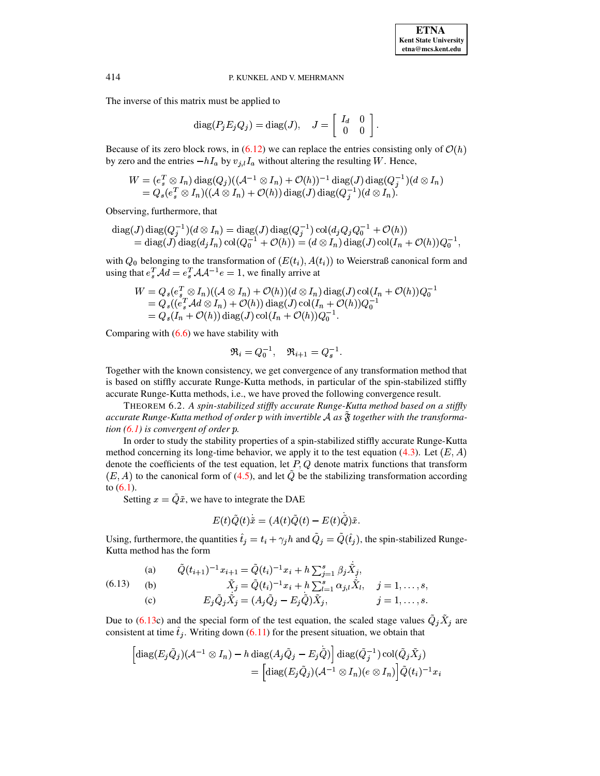$s,$ 

## 414 P. KUNKEL AND V. MEHRMANN

The inverse of this matrix must be applied to

$$
\mathrm{diag}(P_j E_j Q_j) = \mathrm{diag}(J), \quad J = \left[ \begin{array}{cc} I_d & 0 \\ 0 & 0 \end{array} \right].
$$

Because of its zero block rows, in [\(6.12\)](#page-28-0) we can replace the entries consisting only of  $\mathcal{O}(h)$ by zero and the entries  $-hI_a$  by  $v_{j,l}I_a$  without altering the resulting W. Hence,

$$
W = (e_s^T \otimes I_n) \operatorname{diag}(Q_j)((\mathcal{A}^{-1} \otimes I_n) + \mathcal{O}(h))^{-1} \operatorname{diag}(J) \operatorname{diag}(Q_j^{-1})(d \otimes I_n)
$$
  
=  $Q_s(e_s^T \otimes I_n)((\mathcal{A} \otimes I_n) + \mathcal{O}(h)) \operatorname{diag}(J) \operatorname{diag}(Q_j^{-1})(d \otimes I_n).$ 

Observing, furthermore, that

$$
\begin{aligned} \text{diag}(J) \, \text{diag}(Q_j^{-1})(d \otimes I_n) &= \text{diag}(J) \, \text{diag}(Q_j^{-1}) \, \text{col}(d_j Q_j Q_0^{-1} + \mathcal{O}(h)) \\ &= \text{diag}(J) \, \text{diag}(d_j I_n) \, \text{col}(Q_0^{-1} + \mathcal{O}(h)) = (d \otimes I_n) \, \text{diag}(J) \, \text{col}(I_n + \mathcal{O}(h)) Q_0^{-1}, \end{aligned}
$$

with  $Q_0$  belonging to the transformation of  $(E(t_i), A(t_i))$  to Weierstraß canonical form and using that  $e_s^T \mathcal{A}d = e_s^T \mathcal{A} \mathcal{A}^{-1} e = 1$ , we finally arrive at

$$
W = Q_s(e_s^T \otimes I_n)((\mathcal{A} \otimes I_n) + \mathcal{O}(h))(d \otimes I_n) \operatorname{diag}(J) \operatorname{col}(I_n + \mathcal{O}(h))Q_0^{-1}
$$
  
=  $Q_s((e_s^T \mathcal{A}d \otimes I_n) + \mathcal{O}(h)) \operatorname{diag}(J) \operatorname{col}(I_n + \mathcal{O}(h))Q_0^{-1}$   
=  $Q_s(I_n + \mathcal{O}(h)) \operatorname{diag}(J) \operatorname{col}(I_n + \mathcal{O}(h))Q_0^{-1}$ .

Comparing with  $(6.6)$  we have stability with

$$
\mathfrak{R}_i=Q_0^{-1},\quad \mathfrak{R}_{i+1}=Q_s^{-1}.
$$

Together with the known consistency, we get convergence of any transformation method that is based on stiffly accurate Runge-Kutta methods, in particular of the spin-stabilized stiffly accurate Runge-Kutta methods, i.e., we have proved the following convergence result.

THEOREM 6.2. *A spin-stabilized stiffly accurate Runge-Kutta method based on a stiffly accurate Runge-Kutta method of order with invertible* <sup>j</sup> *as* <sup>ë</sup> *together with the transformation*  $(6.1)$  *is convergent of order p.* 

In order to study the stability properties of a spin-stabilized stiffly accurate Runge-Kutta method concerning its long-time behavior, we apply it to the test equation [\(4.3\)](#page-13-0). Let  $(E, A)$ denote the coefficients of the test equation, let  $P$ ,  $Q$  denote matrix functions that transform  $(E, A)$  to the canonical form of [\(4.5\)](#page-14-1), and let  $\tilde{Q}$  be the stabilizing transformation according to  $(6.1)$ .

Setting  $x = \tilde{Q}\tilde{x}$ , we have to integrate the DAE

$$
E(t)\tilde{Q}(t)\tilde{x}=(A(t)\tilde{Q}(t)-E(t)\dot{\tilde{Q}})\tilde{x}.
$$

Using, furthermore, the quantities  $\hat{t}_j = t_i + \gamma_j h$  and  $\tilde{Q}_j = \tilde{Q}(\hat{t}_j)$ , the spin-stabilized Runge-Kutta method has the form

<span id="page-29-0"></span>(a) 
$$
\tilde{Q}(t_{i+1})^{-1}x_{i+1} = \tilde{Q}(t_i)^{-1}x_i + h\sum_{j=1}^s \beta_j \tilde{X}_j,
$$
  
\n(b)  $\tilde{X}_j = \tilde{Q}(t_i)^{-1}x_i + h\sum_{l=1}^s \alpha_{j,l} \tilde{X}_l, \quad j = 1, ..., s,$   
\n(c)  $E_j \tilde{Q}_j \tilde{X}_j = (A_j \tilde{Q}_j - E_j \tilde{Q}) \tilde{X}_j, \qquad j = 1, ..., s.$ 

Due to [\(6.13c](#page-29-0)) and the special form of the test equation, the scaled stage values  $\ddot{Q}_j \ddot{X}_j$  are consistent at time  $\hat{t}_j$ . Writing down [\(6.11\)](#page-28-1) for the present situation, we obtain that

$$
\begin{aligned} \left[ \mathrm{diag}(E_j \tilde{Q}_j) (\mathcal{A}^{-1} \otimes I_n) - h \, \mathrm{diag}(A_j \tilde{Q}_j - E_j \tilde{Q}) \right] \mathrm{diag}(\tilde{Q}_j^{-1}) \, \mathrm{col}(\tilde{Q}_j \tilde{X}_j) \\ &= \left[ \mathrm{diag}(E_j \tilde{Q}_j) (\mathcal{A}^{-1} \otimes I_n) (e \otimes I_n) \right] \tilde{Q}(t_i)^{-1} x_i \end{aligned}
$$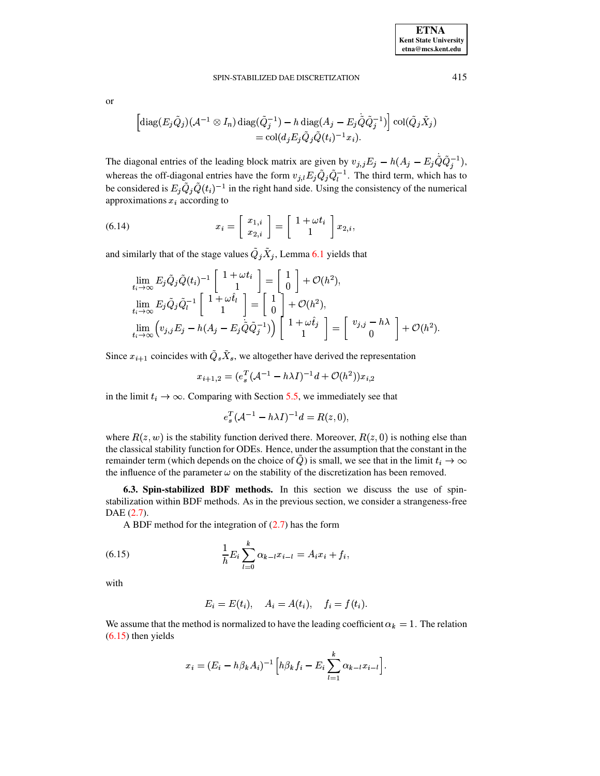415

$$
\overline{a}
$$

$$
\left[ \operatorname{diag}(E_j \tilde{Q}_j) (\mathcal{A}^{-1} \otimes I_n) \operatorname{diag}(\tilde{Q}_j^{-1}) - h \operatorname{diag}(A_j - E_j \tilde{Q} \tilde{Q}_j^{-1}) \right] \operatorname{col}(\tilde{Q}_j \tilde{X}_j)
$$
  
= 
$$
\operatorname{col}(d_j E_j \tilde{Q}_j \tilde{Q}(t_i)^{-1} x_i).
$$

The diagonal entries of the leading block matrix are given by  $v_{j,j}E_j - h(A_j - E_j\tilde{Q}\tilde{Q}_j^{-1}),$ whereas the off-diagonal entries have the form  $v_{j,l} E_j \tilde{Q}_j \tilde{Q}_l^{-1}$ . The third term, which has to be considered is  $E_j \tilde{Q}_j \tilde{Q}(t_i)^{-1}$  in the right hand side. Using the consistency of the numerical approximations  $x_i$  according to

<span id="page-30-1"></span>(6.14) 
$$
x_i = \begin{bmatrix} x_{1,i} \\ x_{2,i} \end{bmatrix} = \begin{bmatrix} 1 + \omega t_i \\ 1 \end{bmatrix} x_{2,i}.
$$

and similarly that of the stage values  $\tilde{Q}_j \tilde{X}_j$ , Lemma 6.1 yields that

$$
\lim_{t_i \to \infty} E_j \tilde{Q}_j \tilde{Q}(t_i)^{-1} \begin{bmatrix} 1 + \omega t_i \\ 1 \end{bmatrix} = \begin{bmatrix} 1 \\ 0 \end{bmatrix} + \mathcal{O}(h^2),
$$
\n
$$
\lim_{t_i \to \infty} E_j \tilde{Q}_j \tilde{Q}_i^{-1} \begin{bmatrix} 1 + \omega \hat{t}_i \\ 1 \end{bmatrix} = \begin{bmatrix} 1 \\ 0 \end{bmatrix} + \mathcal{O}(h^2),
$$
\n
$$
\lim_{t_i \to \infty} \left( v_{j,j} E_j - h(A_j - E_j \tilde{Q} \tilde{Q}_j^{-1}) \right) \begin{bmatrix} 1 + \omega \hat{t}_j \\ 1 \end{bmatrix} = \begin{bmatrix} v_{j,j} - h\lambda \\ 0 \end{bmatrix} + \mathcal{O}(h^2).
$$

Since  $x_{i+1}$  coincides with  $\tilde{Q}_s \tilde{X}_s$ , we altogether have derived the representation

$$
x_{i+1,2} = (e_s^T(A^{-1} - h\lambda I)^{-1}d + \mathcal{O}(h^2))x_{i,2}
$$

in the limit  $t_i \rightarrow \infty$ . Comparing with Section 5.5, we immediately see that

$$
e_s^T(\mathcal{A}^{-1} - h\lambda I)^{-1}d = R(z, 0)
$$

where  $R(z, w)$  is the stability function derived there. Moreover,  $R(z, 0)$  is nothing else than the classical stability function for ODEs. Hence, under the assumption that the constant in the remainder term (which depends on the choice of  $\hat{Q}$ ) is small, we see that in the limit  $t_i \to \infty$ the influence of the parameter  $\omega$  on the stability of the discretization has been removed.

6.3. Spin-stabilized BDF methods. In this section we discuss the use of spinstabilization within BDF methods. As in the previous section, we consider a strangeness-free  $DAE(2.7)$ .

<span id="page-30-0"></span>A BDF method for the integration of  $(2.7)$  has the form

(6.15) 
$$
\frac{1}{h} E_i \sum_{l=0}^k \alpha_{k-l} x_{i-l} = A_i x_i + f_i,
$$

with

$$
E_i = E(t_i), \quad A_i = A(t_i), \quad f_i = f(t_i).
$$

We assume that the method is normalized to have the leading coefficient  $\alpha_k = 1$ . The relation  $(6.15)$  then yields

$$
x_i = (E_i - h\beta_k A_i)^{-1} \Big[ h\beta_k f_i - E_i \sum_{l=1}^k \alpha_{k-l} x_{i-l} \Big].
$$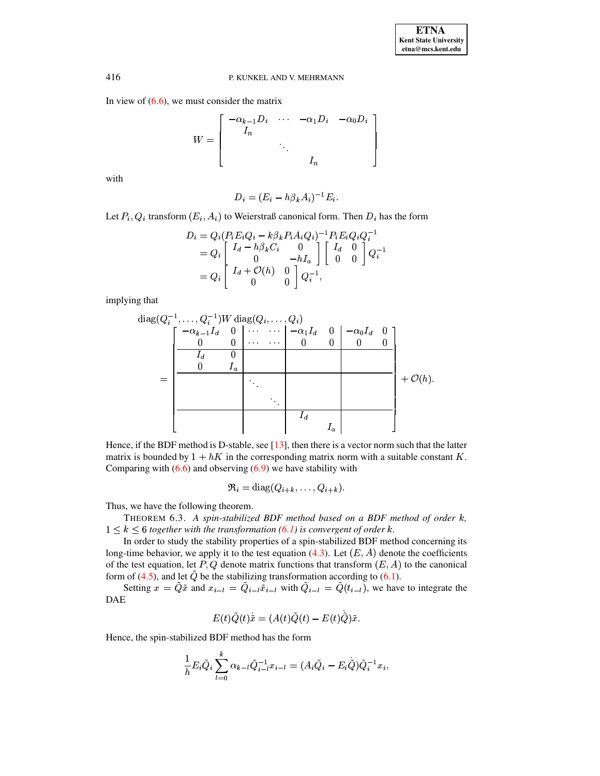In view of  $(6.6)$ , we must consider the matrix

$$
W = \left[ \begin{array}{cccc} -\alpha_{k-1}D_i & \cdots & -\alpha_1D_i & -\alpha_0D_i \\ I_n & & & \\ & \ddots & & \\ & & I_n \end{array} \right]
$$

with

$$
D_i = (E_i - h\beta_k A_i)^{-1} E_i.
$$

Let  $P_i, Q_i$  transform  $(E_i, A_i)$  to Weierstraß canonical form. Then  $D_i$  has the form

$$
\begin{array}{l} D_i = Q_i (P_i E_i Q_i - k \beta_k P_i A_i Q_i)^{-1} P_i E_i Q_i Q_i^{-1} \\ = Q_i \left[ \begin{array}{cc} I_d - h \beta_k C_i & 0 \\ 0 & -h I_a \end{array} \right] \left[ \begin{array}{cc} I_d & 0 \\ 0 & 0 \end{array} \right] Q_i^{-1} \\ = Q_i \left[ \begin{array}{cc} I_d + \mathcal{O}(h) & 0 \\ 0 & 0 \end{array} \right] Q_i^{-1}, \end{array}
$$

implying that

diag(
$$
Q_i^{-1}
$$
,...,  $Q_i^{-1}$ )W diag( $Q_i$ ,...,  $Q_i$ )  
\n
$$
\begin{bmatrix}\n-\alpha_{k-1}I_d & 0 & \cdots & \cdots & -\alpha_1I_d & 0 & -\alpha_0I_d & 0 \\
0 & 0 & \cdots & \cdots & 0 & 0 & 0 & 0 \\
\hline\nI_d & 0 & & & & & \\
0 & I_a & & & & & \\
& & & & \ddots & & & \\
& & & & & & I_d & & \\
& & & & & & I_a\n\end{bmatrix} + \mathcal{O}(h).
$$

Hence, if the BDF method is D-stable, see [\[13\]](#page-34-7), then there is a vector norm such that the latter matrix is bounded by  $1 + hK$  in the corresponding matrix norm with a suitable constant K. Comparing with  $(6.6)$  and observing  $(6.9)$  we have stability with

$$
\mathfrak{R}_i = \text{diag}(Q_{i+k}, \dots, Q_{i+k}).
$$

Thus, we have the following theorem.

THEOREM 6.3. *A spin-stabilized BDF method based on a BDF method of order* \$*,*  $1 \leq k \leq 6$  *together* with the *transformation* [\(6.1\)](#page-24-1) *is convergent of order*  $k$ *.* 

In order to study the stability properties of a spin-stabilized BDF method concerning its long-time behavior, we apply it to the test equation [\(4.3\)](#page-13-0). Let  $(E, A)$  denote the coefficients of the test equation, let P, Q denote matrix functions that transform  $(E, A)$  to the canonical form of [\(4.5\)](#page-14-1), and let  $\tilde{Q}$  be the stabilizing transformation according to [\(6.1\)](#page-24-1).

Setting  $x = \tilde{Q} \tilde{x}$  and  $x_{i-l} = \tilde{Q}_{i-l} \tilde{x}_{i-l}$  with  $\tilde{Q}_{i-l} = \tilde{Q}(t_{i-l})$ , we have to integrate the DAE

$$
E(t)\tilde{Q}(t)\tilde{x}=(A(t)\tilde{Q}(t)-E(t)\tilde{\dot{Q}})\tilde{x}.
$$

Hence, the spin-stabilized BDF method has the form

$$
\frac{1}{h} E_i \tilde{Q}_i \sum_{l=0}^k \alpha_{k-l} \tilde{Q}_{i-l}^{-1} x_{i-l} = (A_i \tilde{Q}_i - E_i \tilde{\tilde{Q}}) \tilde{Q}_i^{-1} x_i,
$$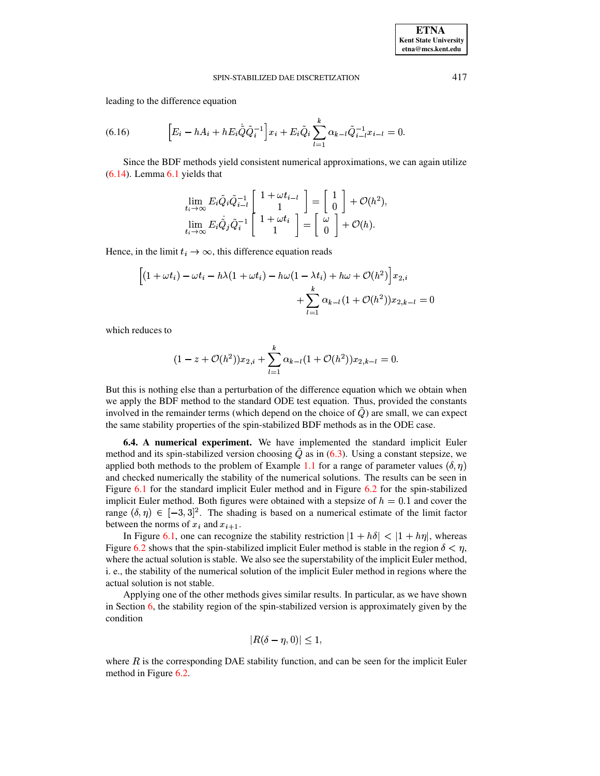leading to the difference equation

(6.16) 
$$
\left[E_i - hA_i + hE_i\dot{\tilde{Q}}\tilde{Q}_i^{-1}\right]x_i + E_i\tilde{Q}_i\sum_{l=1}^k \alpha_{k-l}\tilde{Q}_{i-l}^{-1}x_{i-l} = 0.
$$

Since the BDF methods yield consistent numerical approximations, we can again utilize [\(6.14\)](#page-30-1). Lemma [6.1](#page-25-0) yields that

$$
\lim_{t_i \to \infty} E_i \tilde{Q}_i \tilde{Q}_{i-l}^{-1} \left[ \begin{array}{c} 1 + \omega t_{i-l} \\ 1 \end{array} \right] = \left[ \begin{array}{c} 1 \\ 0 \end{array} \right] + \mathcal{O}(h^2),
$$
\n
$$
\lim_{t_i \to \infty} E_i \tilde{Q}_j \tilde{Q}_i^{-1} \left[ \begin{array}{c} 1 + \omega t_i \\ 1 \end{array} \right] = \left[ \begin{array}{c} \omega \\ 0 \end{array} \right] + \mathcal{O}(h).
$$

Hence, in the limit  $t_i \to \infty$ , this difference equation reads

$$
\begin{aligned} \Big[(1+\omega t_i)-\omega t_i-h\lambda(1+\omega t_i)-h\omega(1-\lambda t_i)+h\omega+\mathcal O(h^2)\Big]x_{2,i}\\ &+\sum_{l=1}^k\alpha_{k-l}(1+\mathcal O(h^2))x_{2,k-l}=0 \end{aligned}
$$

which reduces to

$$
(1-z+\mathcal{O}(h^2))x_{2,i}+\sum_{l=1}^k\alpha_{k-l}(1+\mathcal{O}(h^2))x_{2,k-l}=0.
$$

But this is nothing else than a perturbation of the difference equation which we obtain when we apply the BDF method to the standard ODE test equation. Thus, provided the constants involved in the remainder terms (which depend on the choice of  $Q$ ) are small, we can expect the same stability properties of the spin-stabilized BDF methods as in the ODE case.

**6.4. A numerical experiment.** We have implemented the standard implicit Euler method and its spin-stabilized version choosing  $\ddot{Q}$  as in [\(6.3\)](#page-24-3). Using a constant stepsize, we applied both methods to the problem of Example [1.1](#page-1-0) for a range of parameter values  $(\delta, \eta)$ and checked numerically the stability of the numerical solutions. The results can be seen in Figure [6.1](#page-33-1) for the standard implicit Euler method and in Figure [6.2](#page-34-13) for the spin-stabilized implicit Euler method. Both figures were obtained with a stepsize of  $h = 0.1$  and cover the range  $(\delta, \eta) \in [-3, 3]^2$ . The shading is based on a numerical estimate of the limit factor between the norms of  $x_i$  and  $x_{i+1}$ .

In Figure [6.1,](#page-33-1) one can recognize the stability restriction  $|1 + h\delta| < |1 + h\eta|$ , whereas Figure [6.2](#page-34-13) shows that the spin-stabilized implicit Euler method is stable in the region  $\delta < \eta$ , where the actual solution is stable. We also see the superstability of the implicit Euler method, i. e., the stability of the numerical solution of the implicit Euler method in regions where the actual solution is not stable.

Applying one of the other methods gives similar results. In particular, as we have shown in Section  $6$ , the stability region of the spin-stabilized version is approximately given by the condition

$$
|R(\delta-\eta,0)|\leq 1,
$$

where  $R$  is the corresponding DAE stability function, and can be seen for the implicit Euler method in Figure [6.2.](#page-34-13)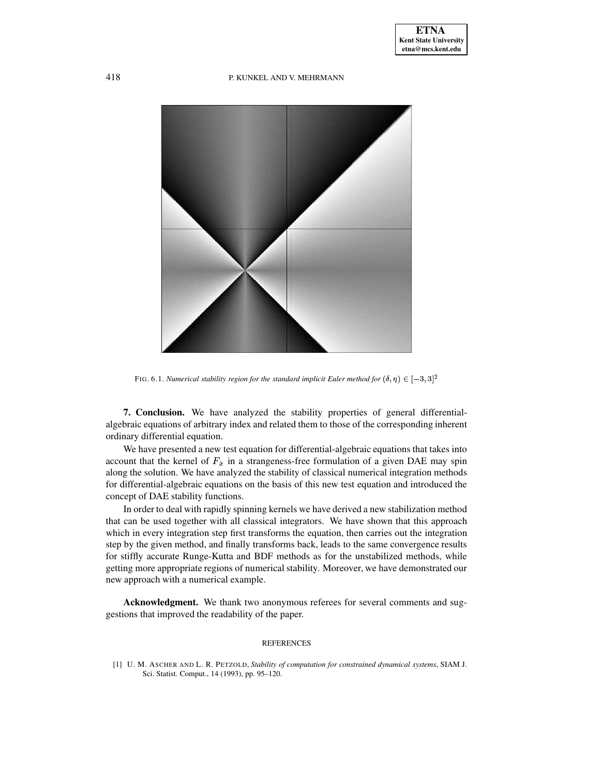

FIG. 6.1. *Numerical stability region for the standard implicit Euler method for*  $(\delta, \eta) \in [-3, 3]^2$ 

<span id="page-33-1"></span>**7. Conclusion.** We have analyzed the stability properties of general differentialalgebraic equations of arbitrary index and related them to those of the corresponding inherent ordinary differential equation.

We have presented a new test equation for differential-algebraic equations that takes into account that the kernel of  $F_{\dot{x}}$  in a strangeness-free formulation of a given DAE may spin along the solution. We have analyzed the stability of classical numerical integration methods for differential-algebraic equations on the basis of this new test equation and introduced the concept of DAE stability functions.

In order to deal with rapidly spinning kernels we have derived a new stabilization method that can be used together with all classical integrators. We have shown that this approach which in every integration step first transforms the equation, then carries out the integration step by the given method, and finally transforms back, leads to the same convergence results for stiffly accurate Runge-Kutta and BDF methods as for the unstabilized methods, while getting more appropriate regions of numerical stability. Moreover, we have demonstrated our new approach with a numerical example.

**Acknowledgment.** We thank two anonymous referees for several comments and suggestions that improved the readability of the paper.

#### REFERENCES

<span id="page-33-0"></span>[1] U. M. ASCHER AND L. R. PETZOLD, *Stability of computation for constrained dynamical systems*, SIAM J. Sci. Statist. Comput., 14 (1993), pp. 95–120.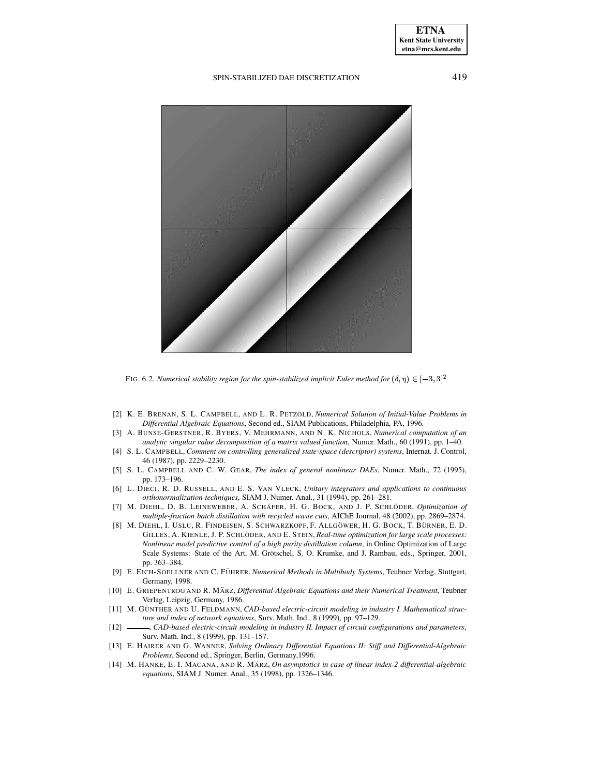### **ETNA Kent State University etna@mcs.kent.edu**

### SPIN-STABILIZED DAE DISCRETIZATION 419



FIG. 6.2. *Numerical stability region for the spin-stabilized implicit Euler method for*  $(\delta, \eta) \in [-3, 3]^2$ 

- <span id="page-34-13"></span><span id="page-34-5"></span>[2] K. E. BRENAN, S. L. CAMPBELL, AND L. R. PETZOLD, *Numerical Solution of Initial-Value Problems in Differential Algebraic Equations*, Second ed., SIAM Publications, Philadelphia, PA, 1996.
- <span id="page-34-11"></span>[3] A. BUNSE-GERSTNER, R. BYERS, V. MEHRMANN, AND N. K. NICHOLS, *Numerical computation of an analytic singular value decomposition of a matrix valued function*, Numer. Math., 60 (1991), pp. 1–40.
- <span id="page-34-8"></span>[4] S. L. CAMPBELL, *Comment on controlling generalized state-space (descriptor) systems*, Internat. J. Control, 46 (1987), pp. 2229–2230.
- <span id="page-34-9"></span>[5] S. L. CAMPBELL AND C. W. GEAR, *The index of general nonlinear DAEs*, Numer. Math., 72 (1995), pp. 173–196.
- <span id="page-34-12"></span>[6] L. DIECI, R. D. RUSSELL, AND E. S. VAN VLECK, *Unitary integrators and applications to continuous orthonormalization techniques*, SIAM J. Numer. Anal., 31 (1994), pp. 261–281.
- <span id="page-34-3"></span>[7] M. DIEHL, D. B. LEINEWEBER, A. SCHÄFER, H. G. BOCK, AND J. P. SCHLÖDER, *Optimization of multiple-fraction batch distillation with recycled waste cuts*, AIChE Journal, 48 (2002), pp. 2869–2874.
- <span id="page-34-4"></span>[8] M. DIEHL, I. USLU, R. FINDEISEN, S. SCHWARZKOPF, F. ALLGÖWER, H. G. BOCK, T. BÜRNER, E. D. GILLES, A. KIENLE, J. P. SCHLÖDER, AND E. STEIN, *Real-time optimization for large scale processes: Nonlinear model predictive control of a high purity distillation column*, in Online Optimization of Large Scale Systems: State of the Art, M. Grötschel, S. O. Krumke, and J. Rambau, eds., Springer, 2001, pp. 363–384.
- <span id="page-34-0"></span>[9] E. EICH-SOELLNER AND C. FU¨ HRER, *Numerical Methods in Multibody Systems*, Teubner Verlag, Stuttgart, Germany, 1998.
- <span id="page-34-6"></span>[10] E. GRIEPENTROG AND R. MA¨ RZ, *Differential-Algebraic Equations and their Numerical Treatment*, Teubner Verlag, Leipzig, Germany, 1986.
- <span id="page-34-1"></span>[11] M. GU¨ NTHER AND U. FELDMANN, *CAD-based electric-circuit modeling in industry I. Mathematical structure and index of network equations*, Surv. Math. Ind., 8 (1999), pp. 97–129.
- <span id="page-34-2"></span>[12] , *CAD-based electric-circuit modeling in industry II. Impact of circuit configurations and parameters*, Surv. Math. Ind., 8 (1999), pp. 131–157.
- <span id="page-34-7"></span>[13] E. HAIRER AND G. WANNER, *Solving Ordinary Differential Equations II: Stiff and Differential-Algebraic Problems*, Second ed., Springer, Berlin, Germany,1996.
- <span id="page-34-10"></span>[14] M. HANKE, E. I. MACANA, AND R. MA¨ RZ, *On asymptotics in case of linear index-2 differential-algebraic equations*, SIAM J. Numer. Anal., 35 (1998), pp. 1326–1346.